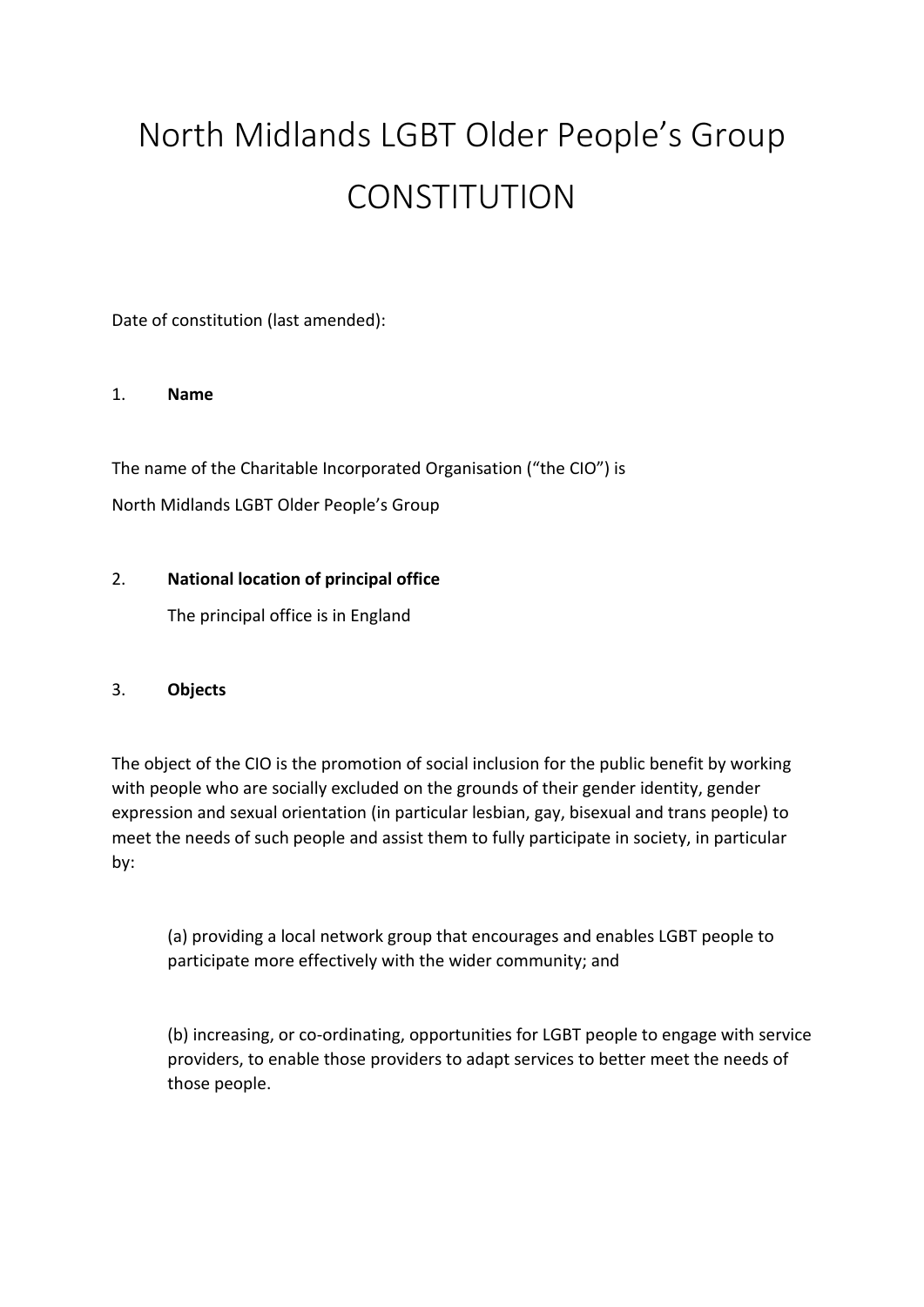# North Midlands LGBT Older People's Group CONSTITUTION

Date of constitution (last amended):

## 1. **Name**

The name of the Charitable Incorporated Organisation ("the CIO") is North Midlands LGBT Older People's Group

## 2. **National location of principal office**

The principal office is in England

## 3. **Objects**

The object of the CIO is the promotion of social inclusion for the public benefit by working with people who are socially excluded on the grounds of their gender identity, gender expression and sexual orientation (in particular lesbian, gay, bisexual and trans people) to meet the needs of such people and assist them to fully participate in society, in particular by:

(a) providing a local network group that encourages and enables LGBT people to participate more effectively with the wider community; and

(b) increasing, or co-ordinating, opportunities for LGBT people to engage with service providers, to enable those providers to adapt services to better meet the needs of those people.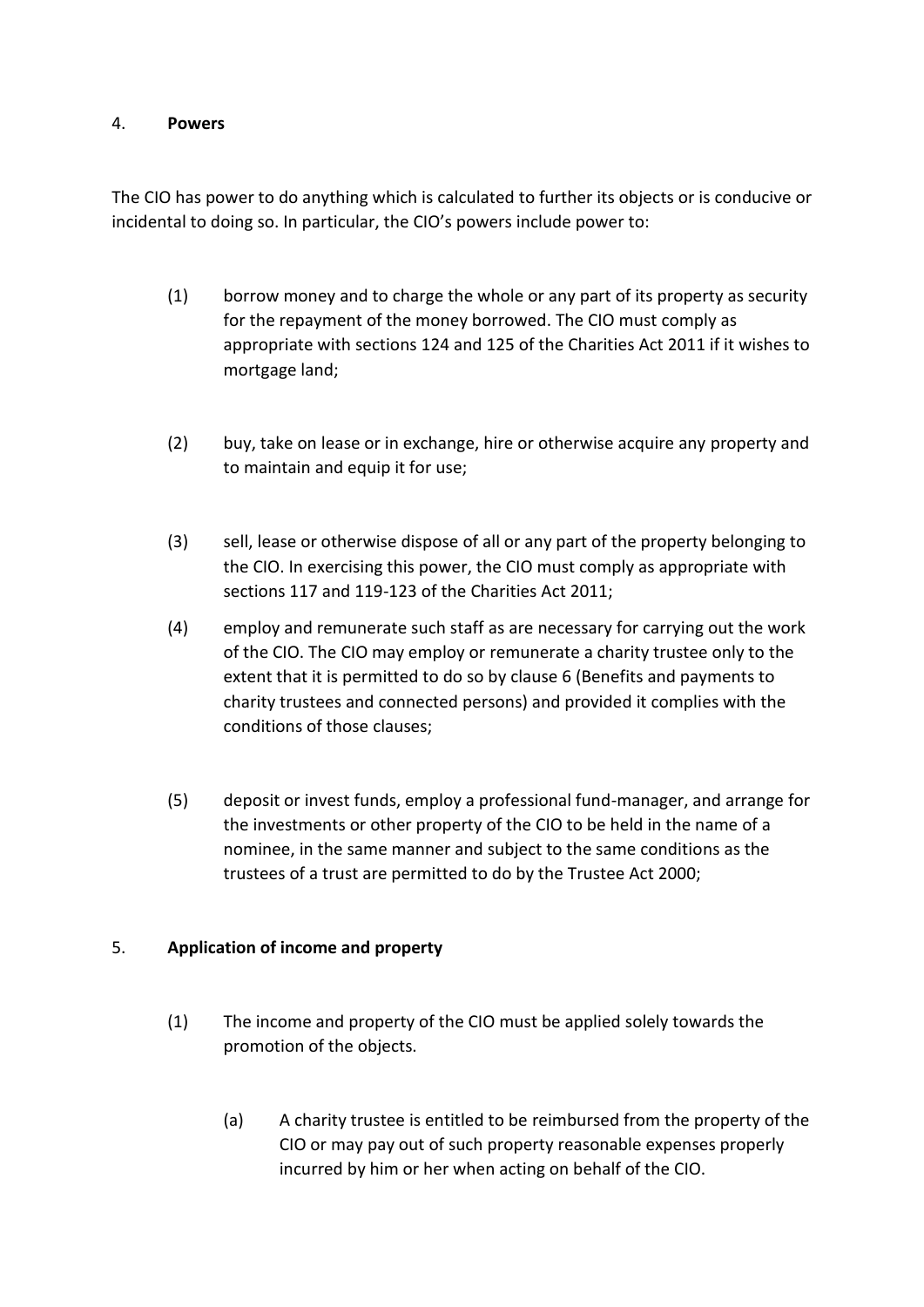#### 4. **Powers**

The CIO has power to do anything which is calculated to further its objects or is conducive or incidental to doing so. In particular, the CIO's powers include power to:

- (1) borrow money and to charge the whole or any part of its property as security for the repayment of the money borrowed. The CIO must comply as appropriate with sections 124 and 125 of the Charities Act 2011 if it wishes to mortgage land;
- (2) buy, take on lease or in exchange, hire or otherwise acquire any property and to maintain and equip it for use;
- (3) sell, lease or otherwise dispose of all or any part of the property belonging to the CIO. In exercising this power, the CIO must comply as appropriate with sections 117 and 119-123 of the Charities Act 2011;
- (4) employ and remunerate such staff as are necessary for carrying out the work of the CIO. The CIO may employ or remunerate a charity trustee only to the extent that it is permitted to do so by clause 6 (Benefits and payments to charity trustees and connected persons) and provided it complies with the conditions of those clauses;
- (5) deposit or invest funds, employ a professional fund-manager, and arrange for the investments or other property of the CIO to be held in the name of a nominee, in the same manner and subject to the same conditions as the trustees of a trust are permitted to do by the Trustee Act 2000;

## 5. **Application of income and property**

- (1) The income and property of the CIO must be applied solely towards the promotion of the objects.
	- (a) A charity trustee is entitled to be reimbursed from the property of the CIO or may pay out of such property reasonable expenses properly incurred by him or her when acting on behalf of the CIO.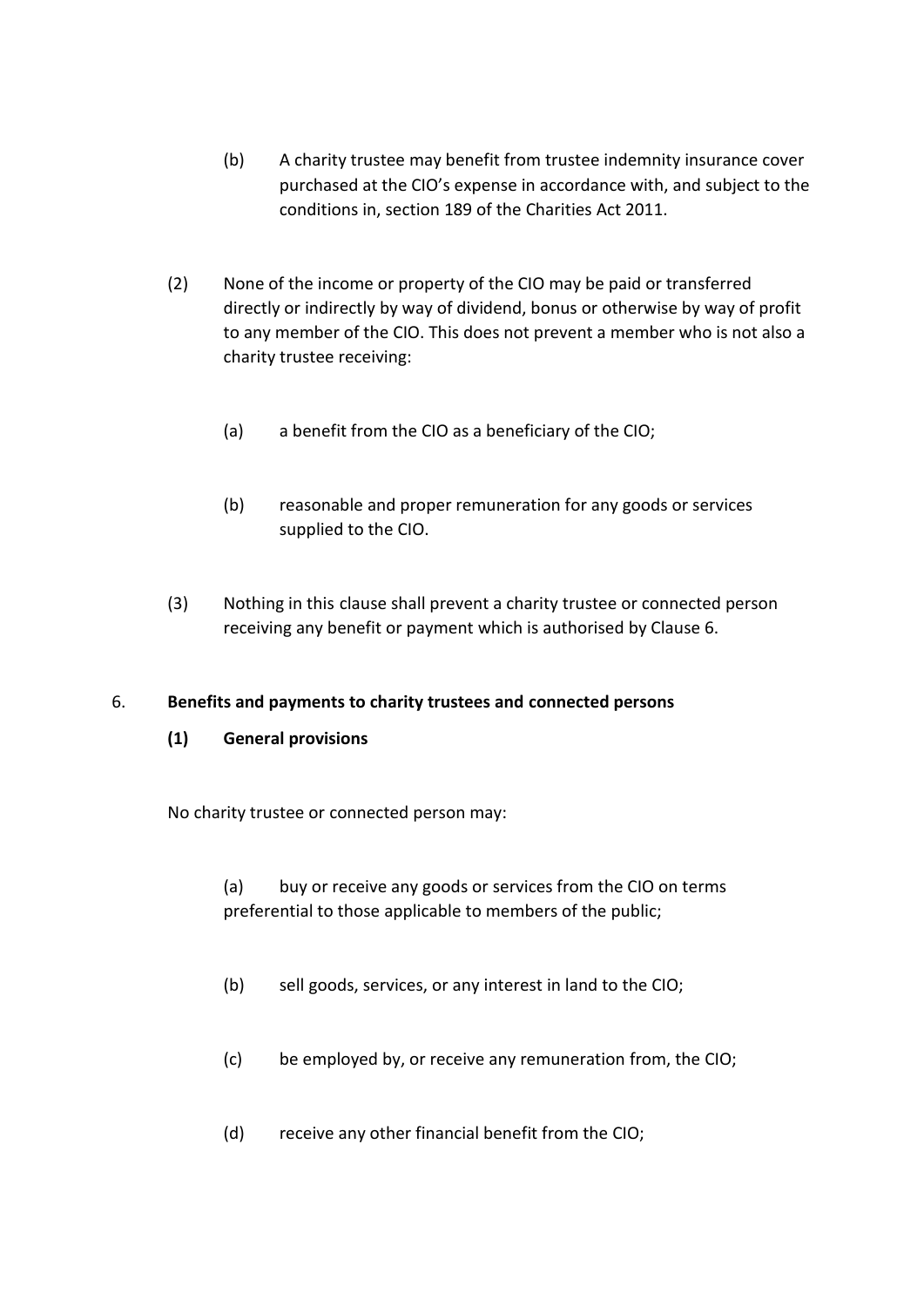- (b) A charity trustee may benefit from trustee indemnity insurance cover purchased at the CIO's expense in accordance with, and subject to the conditions in, section 189 of the Charities Act 2011.
- (2) None of the income or property of the CIO may be paid or transferred directly or indirectly by way of dividend, bonus or otherwise by way of profit to any member of the CIO. This does not prevent a member who is not also a charity trustee receiving:
	- (a) a benefit from the CIO as a beneficiary of the CIO;
	- (b) reasonable and proper remuneration for any goods or services supplied to the CIO.
- (3) Nothing in this clause shall prevent a charity trustee or connected person receiving any benefit or payment which is authorised by Clause 6.

## 6. **Benefits and payments to charity trustees and connected persons**

## **(1) General provisions**

No charity trustee or connected person may:

(a) buy or receive any goods or services from the CIO on terms preferential to those applicable to members of the public;

- (b) sell goods, services, or any interest in land to the CIO;
- (c) be employed by, or receive any remuneration from, the CIO;
- (d) receive any other financial benefit from the CIO;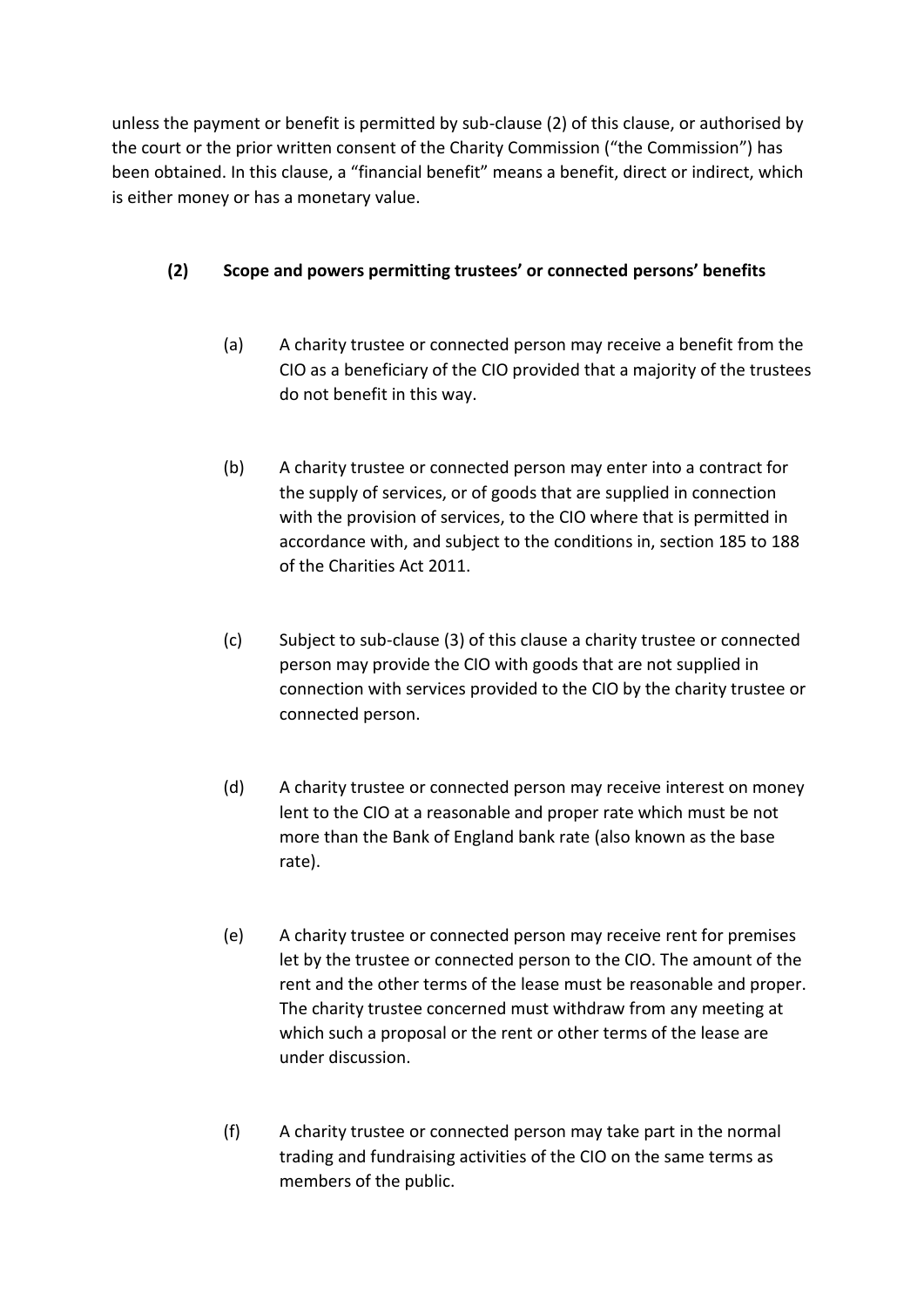unless the payment or benefit is permitted by sub-clause (2) of this clause, or authorised by the court or the prior written consent of the Charity Commission ("the Commission") has been obtained. In this clause, a "financial benefit" means a benefit, direct or indirect, which is either money or has a monetary value.

# **(2) Scope and powers permitting trustees' or connected persons' benefits**

- (a) A charity trustee or connected person may receive a benefit from the CIO as a beneficiary of the CIO provided that a majority of the trustees do not benefit in this way.
- (b) A charity trustee or connected person may enter into a contract for the supply of services, or of goods that are supplied in connection with the provision of services, to the CIO where that is permitted in accordance with, and subject to the conditions in, section 185 to 188 of the Charities Act 2011.
- (c) Subject to sub-clause (3) of this clause a charity trustee or connected person may provide the CIO with goods that are not supplied in connection with services provided to the CIO by the charity trustee or connected person.
- (d) A charity trustee or connected person may receive interest on money lent to the CIO at a reasonable and proper rate which must be not more than the Bank of England bank rate (also known as the base rate).
- (e) A charity trustee or connected person may receive rent for premises let by the trustee or connected person to the CIO. The amount of the rent and the other terms of the lease must be reasonable and proper. The charity trustee concerned must withdraw from any meeting at which such a proposal or the rent or other terms of the lease are under discussion.
- (f) A charity trustee or connected person may take part in the normal trading and fundraising activities of the CIO on the same terms as members of the public.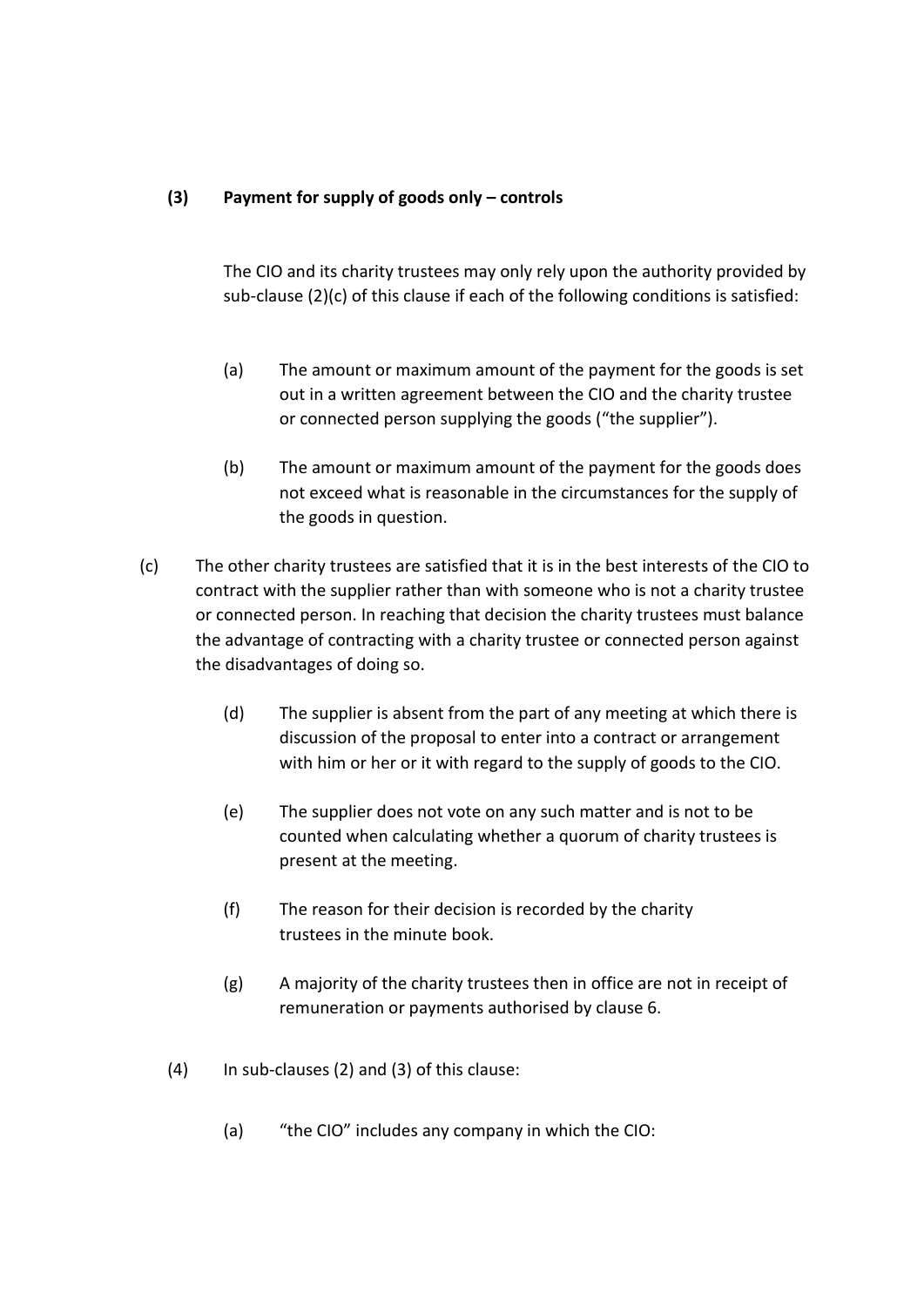## **(3) Payment for supply of goods only – controls**

The CIO and its charity trustees may only rely upon the authority provided by sub-clause (2)(c) of this clause if each of the following conditions is satisfied:

- (a) The amount or maximum amount of the payment for the goods is set out in a written agreement between the CIO and the charity trustee or connected person supplying the goods ("the supplier").
- (b) The amount or maximum amount of the payment for the goods does not exceed what is reasonable in the circumstances for the supply of the goods in question.
- (c) The other charity trustees are satisfied that it is in the best interests of the CIO to contract with the supplier rather than with someone who is not a charity trustee or connected person. In reaching that decision the charity trustees must balance the advantage of contracting with a charity trustee or connected person against the disadvantages of doing so.
	- (d) The supplier is absent from the part of any meeting at which there is discussion of the proposal to enter into a contract or arrangement with him or her or it with regard to the supply of goods to the CIO.
	- (e) The supplier does not vote on any such matter and is not to be counted when calculating whether a quorum of charity trustees is present at the meeting.
	- (f) The reason for their decision is recorded by the charity trustees in the minute book.
	- (g) A majority of the charity trustees then in office are not in receipt of remuneration or payments authorised by clause 6.
	- (4) In sub-clauses (2) and (3) of this clause:
		- (a) "the CIO" includes any company in which the CIO: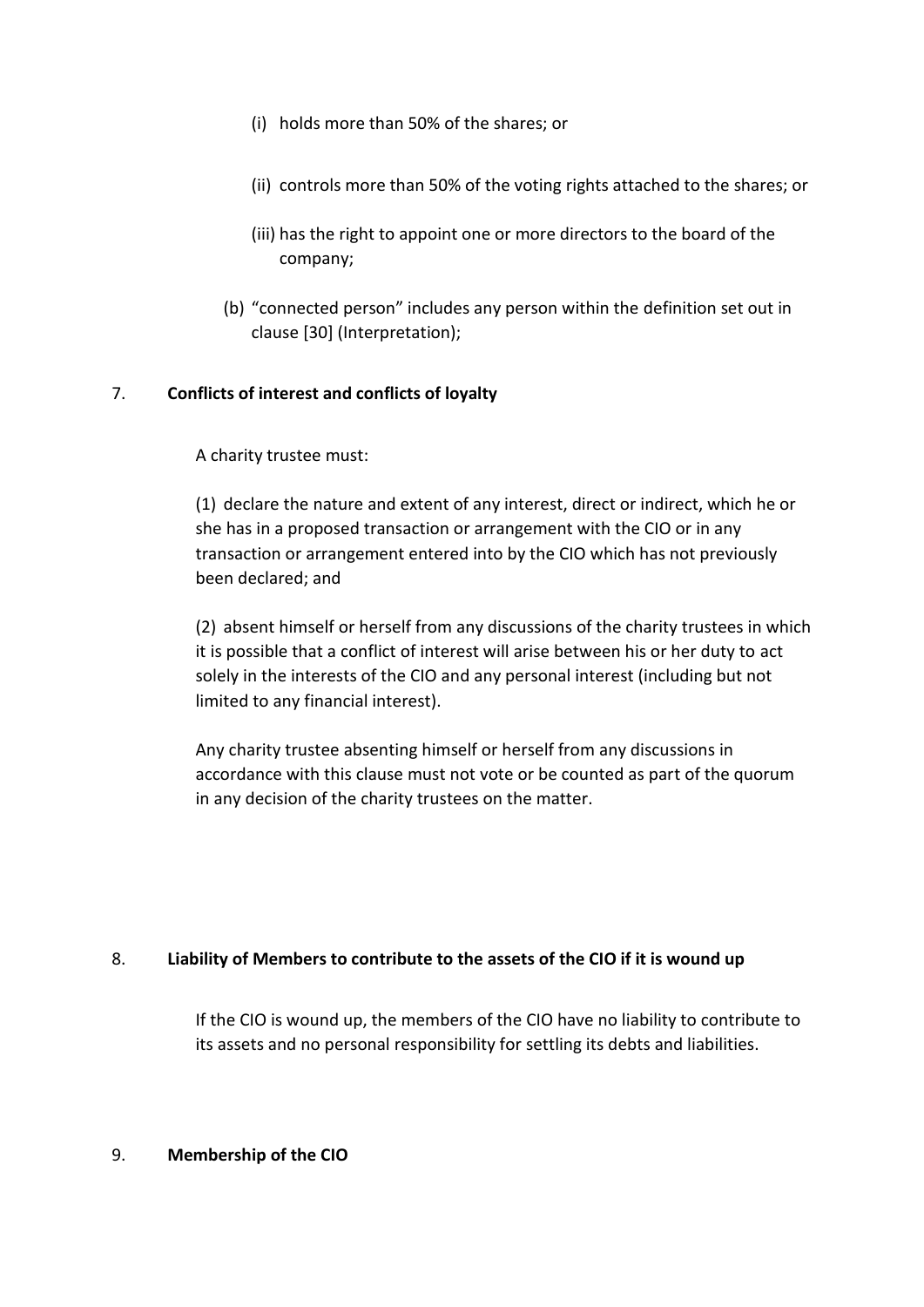- (i) holds more than 50% of the shares; or
- (ii) controls more than 50% of the voting rights attached to the shares; or
- (iii) has the right to appoint one or more directors to the board of the company;
- (b) "connected person" includes any person within the definition set out in clause [30] (Interpretation);

#### 7. **Conflicts of interest and conflicts of loyalty**

#### A charity trustee must:

(1) declare the nature and extent of any interest, direct or indirect, which he or she has in a proposed transaction or arrangement with the CIO or in any transaction or arrangement entered into by the CIO which has not previously been declared; and

(2) absent himself or herself from any discussions of the charity trustees in which it is possible that a conflict of interest will arise between his or her duty to act solely in the interests of the CIO and any personal interest (including but not limited to any financial interest).

Any charity trustee absenting himself or herself from any discussions in accordance with this clause must not vote or be counted as part of the quorum in any decision of the charity trustees on the matter.

#### 8. **Liability of Members to contribute to the assets of the CIO if it is wound up**

If the CIO is wound up, the members of the CIO have no liability to contribute to its assets and no personal responsibility for settling its debts and liabilities.

#### 9. **Membership of the CIO**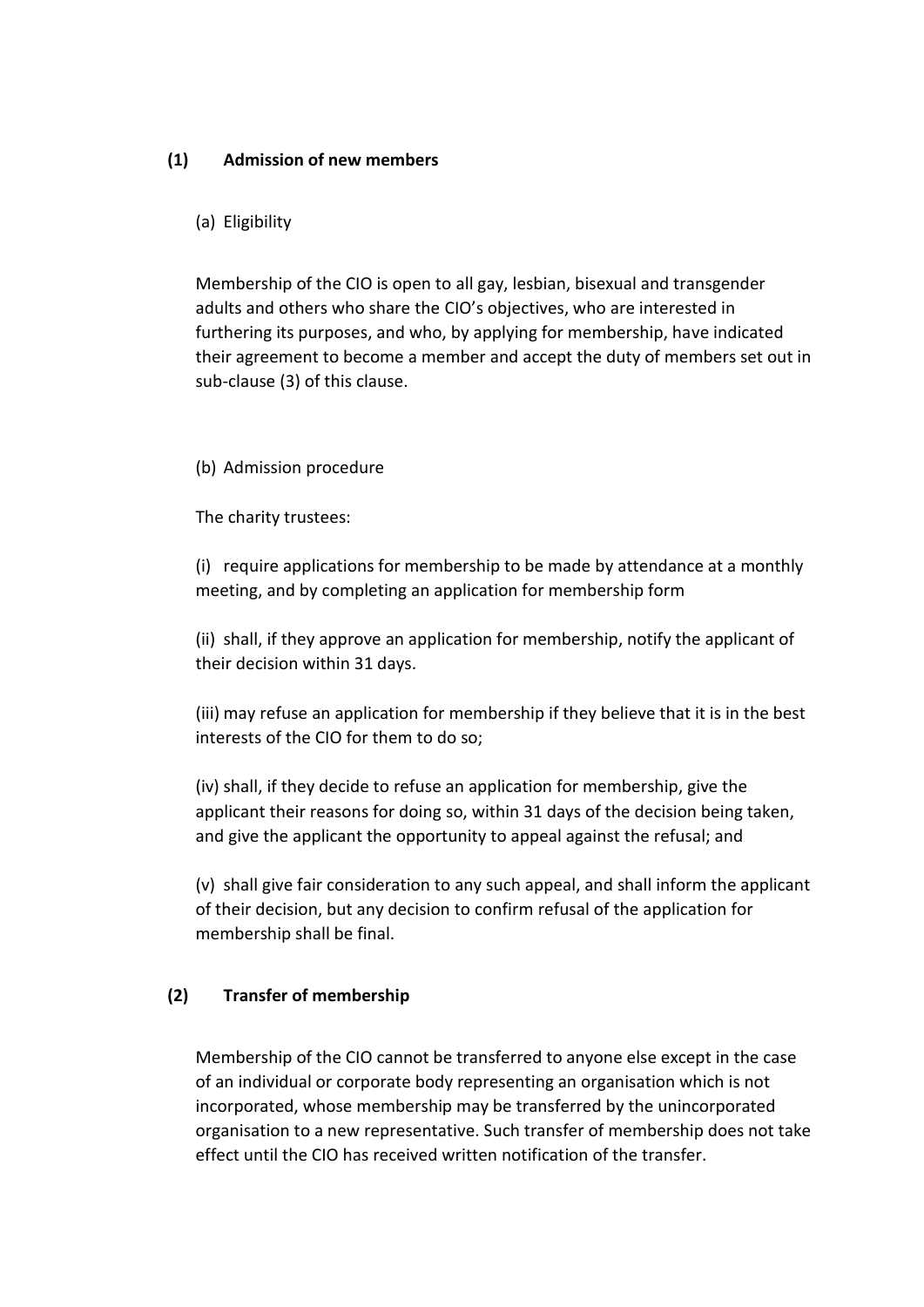## **(1) Admission of new members**

#### (a) Eligibility

Membership of the CIO is open to all gay, lesbian, bisexual and transgender adults and others who share the CIO's objectives, who are interested in furthering its purposes, and who, by applying for membership, have indicated their agreement to become a member and accept the duty of members set out in sub-clause (3) of this clause.

(b) Admission procedure

The charity trustees:

(i) require applications for membership to be made by attendance at a monthly meeting, and by completing an application for membership form

(ii) shall, if they approve an application for membership, notify the applicant of their decision within 31 days.

(iii) may refuse an application for membership if they believe that it is in the best interests of the CIO for them to do so;

(iv) shall, if they decide to refuse an application for membership, give the applicant their reasons for doing so, within 31 days of the decision being taken, and give the applicant the opportunity to appeal against the refusal; and

(v) shall give fair consideration to any such appeal, and shall inform the applicant of their decision, but any decision to confirm refusal of the application for membership shall be final.

#### **(2) Transfer of membership**

Membership of the CIO cannot be transferred to anyone else except in the case of an individual or corporate body representing an organisation which is not incorporated, whose membership may be transferred by the unincorporated organisation to a new representative. Such transfer of membership does not take effect until the CIO has received written notification of the transfer.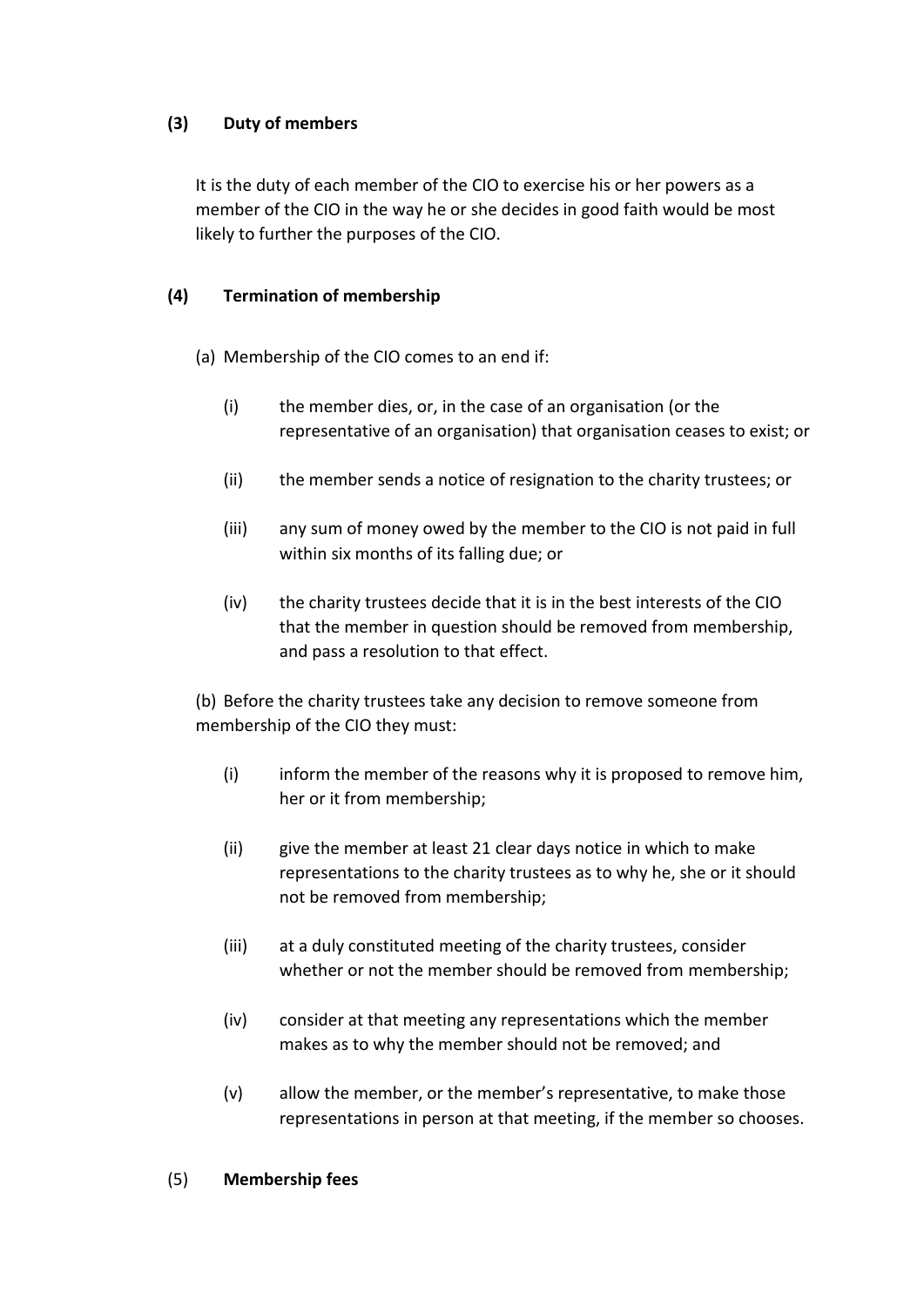## **(3) Duty of members**

It is the duty of each member of the CIO to exercise his or her powers as a member of the CIO in the way he or she decides in good faith would be most likely to further the purposes of the CIO.

## **(4) Termination of membership**

- (a) Membership of the CIO comes to an end if:
	- (i) the member dies, or, in the case of an organisation (or the representative of an organisation) that organisation ceases to exist; or
	- (ii) the member sends a notice of resignation to the charity trustees; or
	- (iii) any sum of money owed by the member to the CIO is not paid in full within six months of its falling due; or
	- (iv) the charity trustees decide that it is in the best interests of the CIO that the member in question should be removed from membership, and pass a resolution to that effect.

(b) Before the charity trustees take any decision to remove someone from membership of the CIO they must:

- (i) inform the member of the reasons why it is proposed to remove him. her or it from membership;
- (ii) give the member at least 21 clear days notice in which to make representations to the charity trustees as to why he, she or it should not be removed from membership;
- (iii) at a duly constituted meeting of the charity trustees, consider whether or not the member should be removed from membership;
- (iv) consider at that meeting any representations which the member makes as to why the member should not be removed; and
- (v) allow the member, or the member's representative, to make those representations in person at that meeting, if the member so chooses.

#### (5) **Membership fees**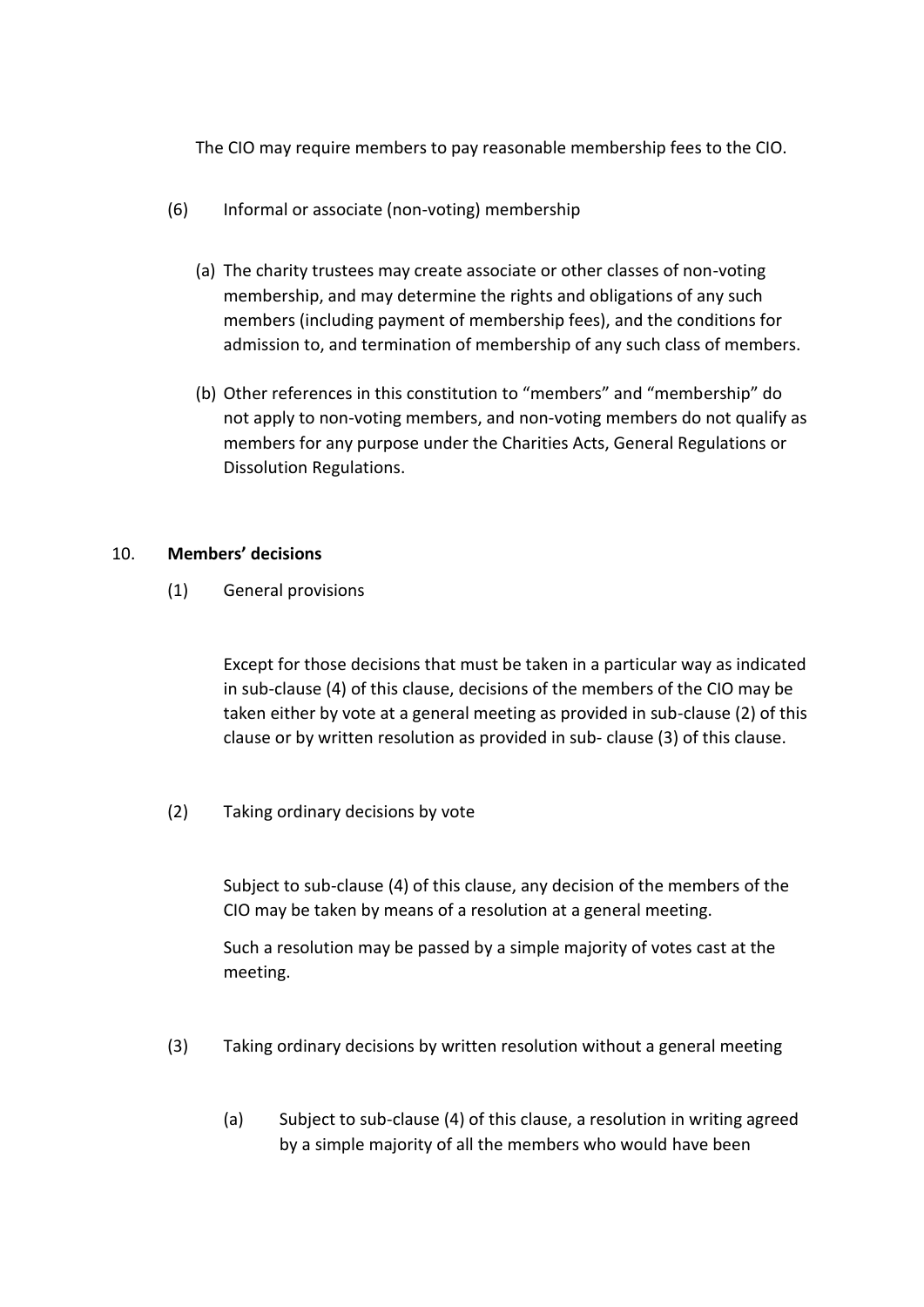The CIO may require members to pay reasonable membership fees to the CIO.

- (6) Informal or associate (non-voting) membership
	- (a) The charity trustees may create associate or other classes of non-voting membership, and may determine the rights and obligations of any such members (including payment of membership fees), and the conditions for admission to, and termination of membership of any such class of members.
	- (b) Other references in this constitution to "members" and "membership" do not apply to non-voting members, and non-voting members do not qualify as members for any purpose under the Charities Acts, General Regulations or Dissolution Regulations.

#### 10. **Members' decisions**

(1) General provisions

Except for those decisions that must be taken in a particular way as indicated in sub-clause (4) of this clause, decisions of the members of the CIO may be taken either by vote at a general meeting as provided in sub-clause (2) of this clause or by written resolution as provided in sub- clause (3) of this clause.

(2) Taking ordinary decisions by vote

Subject to sub-clause (4) of this clause, any decision of the members of the CIO may be taken by means of a resolution at a general meeting.

Such a resolution may be passed by a simple majority of votes cast at the meeting.

- (3) Taking ordinary decisions by written resolution without a general meeting
	- (a) Subject to sub-clause (4) of this clause, a resolution in writing agreed by a simple majority of all the members who would have been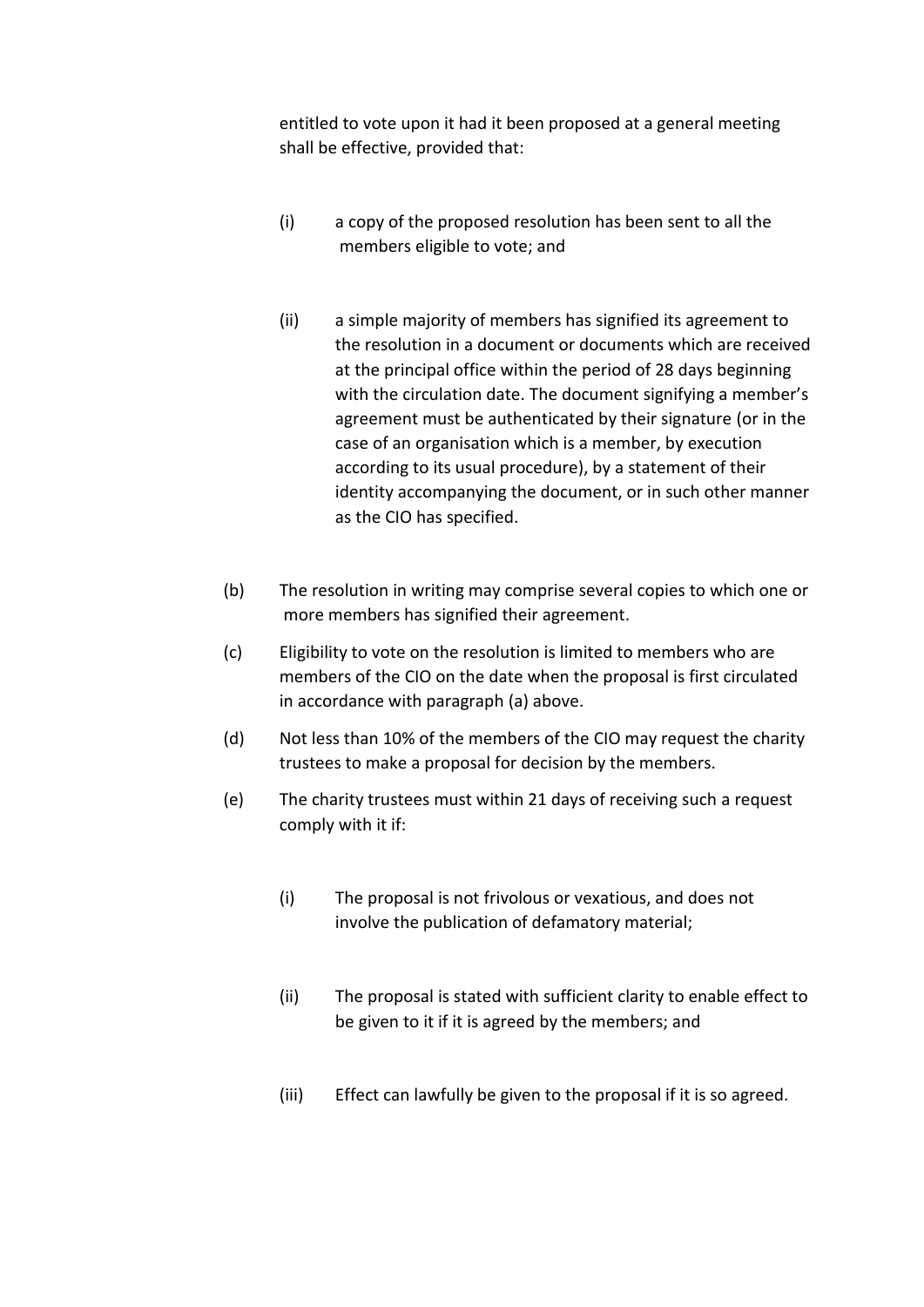entitled to vote upon it had it been proposed at a general meeting shall be effective, provided that:

- (i) a copy of the proposed resolution has been sent to all the members eligible to vote; and
- (ii) a simple majority of members has signified its agreement to the resolution in a document or documents which are received at the principal office within the period of 28 days beginning with the circulation date. The document signifying a member's agreement must be authenticated by their signature (or in the case of an organisation which is a member, by execution according to its usual procedure), by a statement of their identity accompanying the document, or in such other manner as the CIO has specified.
- (b) The resolution in writing may comprise several copies to which one or more members has signified their agreement.
- (c) Eligibility to vote on the resolution is limited to members who are members of the CIO on the date when the proposal is first circulated in accordance with paragraph (a) above.
- (d) Not less than 10% of the members of the CIO may request the charity trustees to make a proposal for decision by the members.
- (e) The charity trustees must within 21 days of receiving such a request comply with it if:
	- (i) The proposal is not frivolous or vexatious, and does not involve the publication of defamatory material;
	- (ii) The proposal is stated with sufficient clarity to enable effect to be given to it if it is agreed by the members; and
	- (iii) Effect can lawfully be given to the proposal if it is so agreed.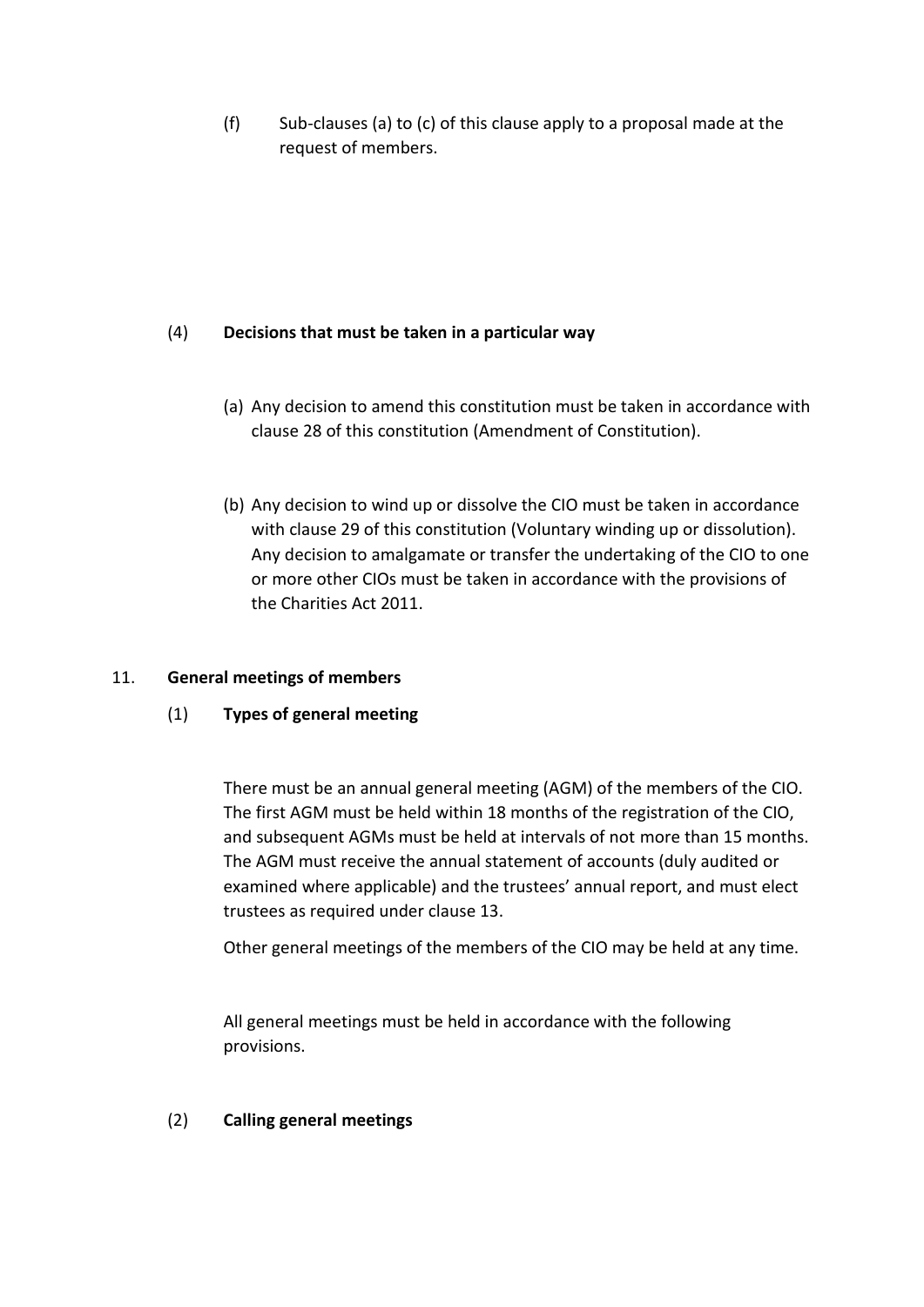(f) Sub-clauses (a) to (c) of this clause apply to a proposal made at the request of members.

# (4) **Decisions that must be taken in a particular way**

- (a) Any decision to amend this constitution must be taken in accordance with clause 28 of this constitution (Amendment of Constitution).
- (b) Any decision to wind up or dissolve the CIO must be taken in accordance with clause 29 of this constitution (Voluntary winding up or dissolution). Any decision to amalgamate or transfer the undertaking of the CIO to one or more other CIOs must be taken in accordance with the provisions of the Charities Act 2011.

## 11. **General meetings of members**

# (1) **Types of general meeting**

There must be an annual general meeting (AGM) of the members of the CIO. The first AGM must be held within 18 months of the registration of the CIO, and subsequent AGMs must be held at intervals of not more than 15 months. The AGM must receive the annual statement of accounts (duly audited or examined where applicable) and the trustees' annual report, and must elect trustees as required under clause 13.

Other general meetings of the members of the CIO may be held at any time.

All general meetings must be held in accordance with the following provisions.

## (2) **Calling general meetings**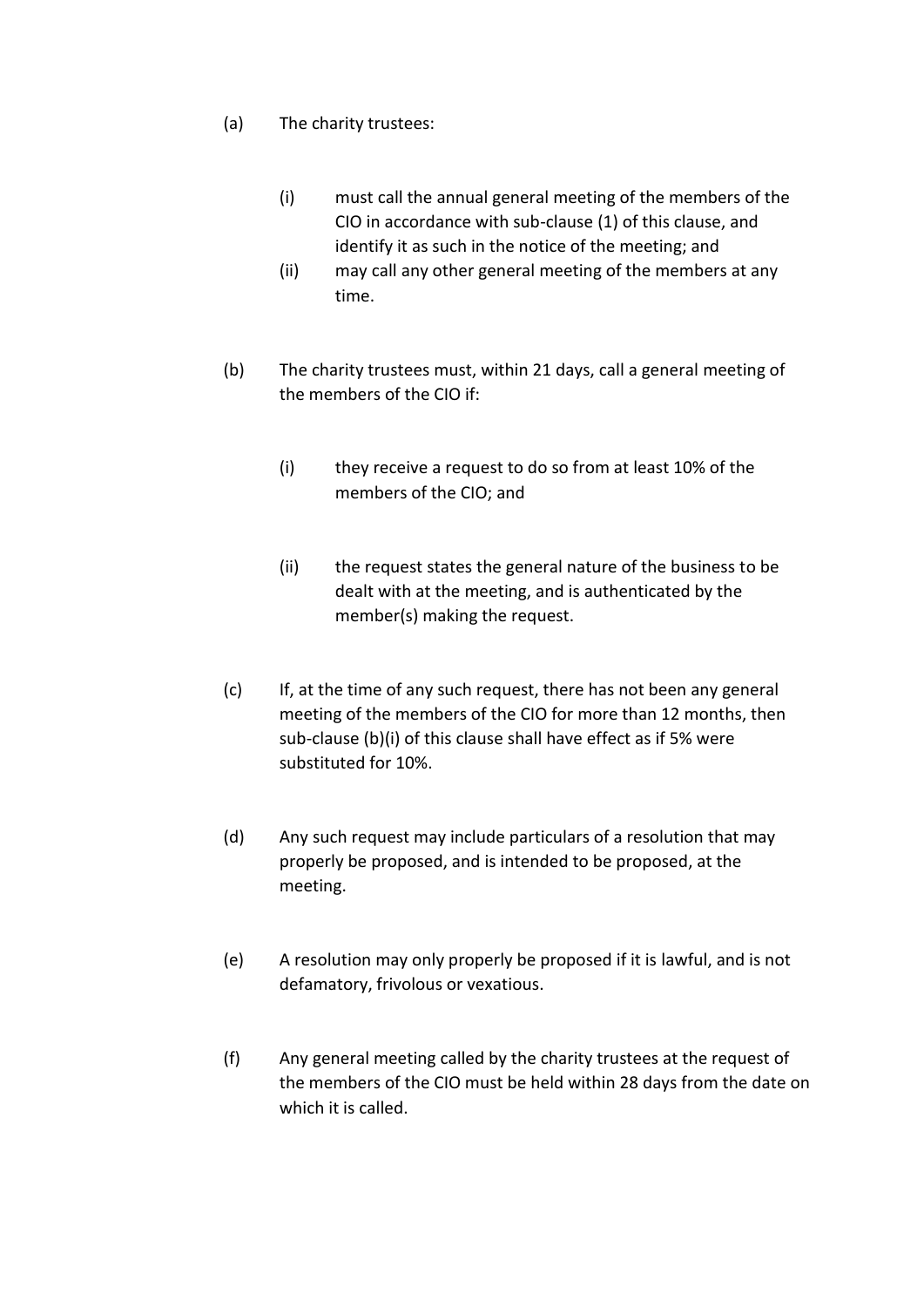- (a) The charity trustees:
	- (i) must call the annual general meeting of the members of the CIO in accordance with sub-clause (1) of this clause, and identify it as such in the notice of the meeting; and
	- (ii) may call any other general meeting of the members at any time.
- (b) The charity trustees must, within 21 days, call a general meeting of the members of the CIO if:
	- (i) they receive a request to do so from at least 10% of the members of the CIO; and
	- (ii) the request states the general nature of the business to be dealt with at the meeting, and is authenticated by the member(s) making the request.
- (c) If, at the time of any such request, there has not been any general meeting of the members of the CIO for more than 12 months, then sub-clause (b)(i) of this clause shall have effect as if 5% were substituted for 10%.
- (d) Any such request may include particulars of a resolution that may properly be proposed, and is intended to be proposed, at the meeting.
- (e) A resolution may only properly be proposed if it is lawful, and is not defamatory, frivolous or vexatious.
- (f) Any general meeting called by the charity trustees at the request of the members of the CIO must be held within 28 days from the date on which it is called.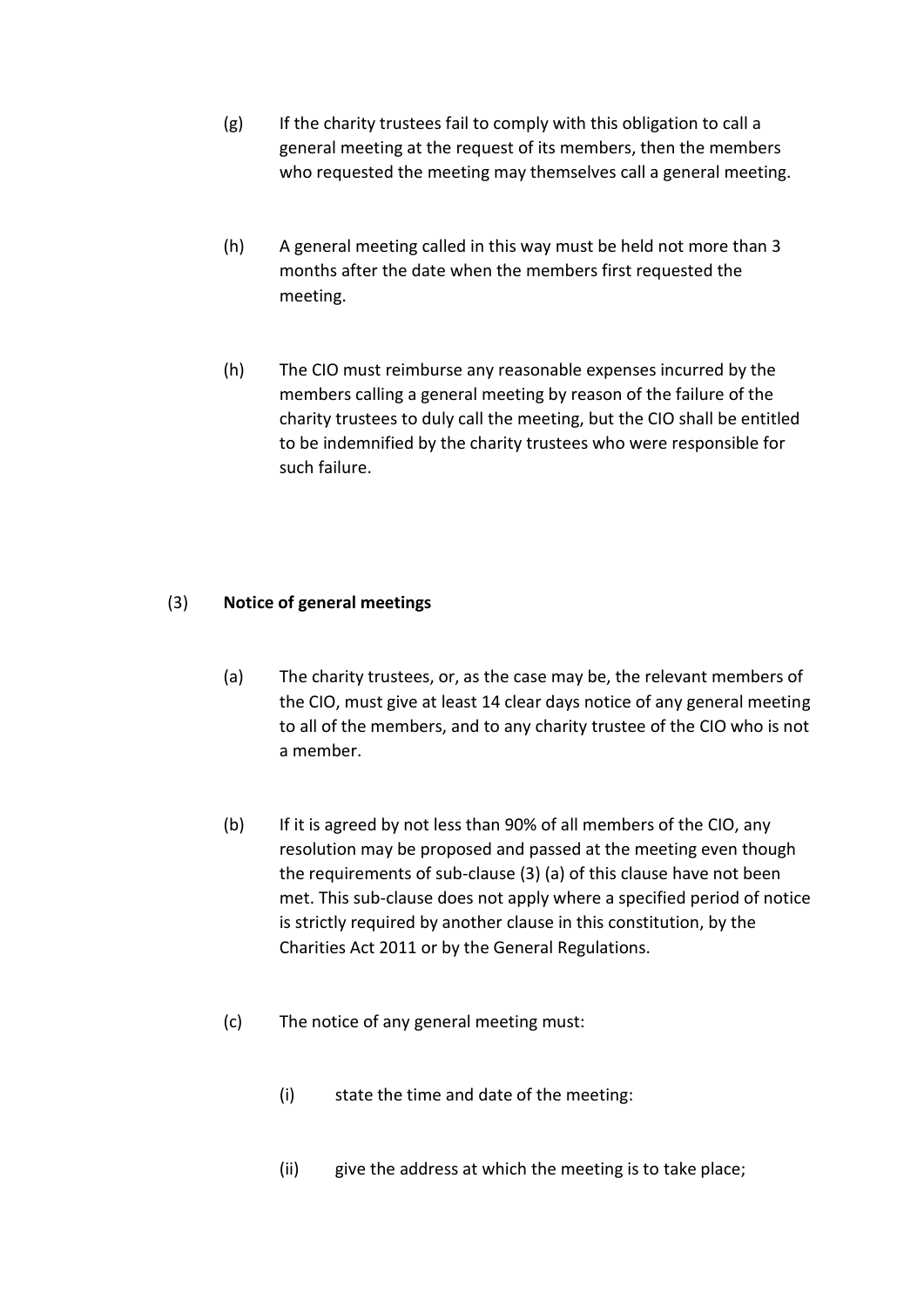- $(g)$  If the charity trustees fail to comply with this obligation to call a general meeting at the request of its members, then the members who requested the meeting may themselves call a general meeting.
- (h) A general meeting called in this way must be held not more than 3 months after the date when the members first requested the meeting.
- (h) The CIO must reimburse any reasonable expenses incurred by the members calling a general meeting by reason of the failure of the charity trustees to duly call the meeting, but the CIO shall be entitled to be indemnified by the charity trustees who were responsible for such failure.

## (3) **Notice of general meetings**

- (a) The charity trustees, or, as the case may be, the relevant members of the CIO, must give at least 14 clear days notice of any general meeting to all of the members, and to any charity trustee of the CIO who is not a member.
- (b) If it is agreed by not less than 90% of all members of the CIO, any resolution may be proposed and passed at the meeting even though the requirements of sub-clause (3) (a) of this clause have not been met. This sub-clause does not apply where a specified period of notice is strictly required by another clause in this constitution, by the Charities Act 2011 or by the General Regulations.
- (c) The notice of any general meeting must:
	- (i) state the time and date of the meeting:
	- (ii) give the address at which the meeting is to take place;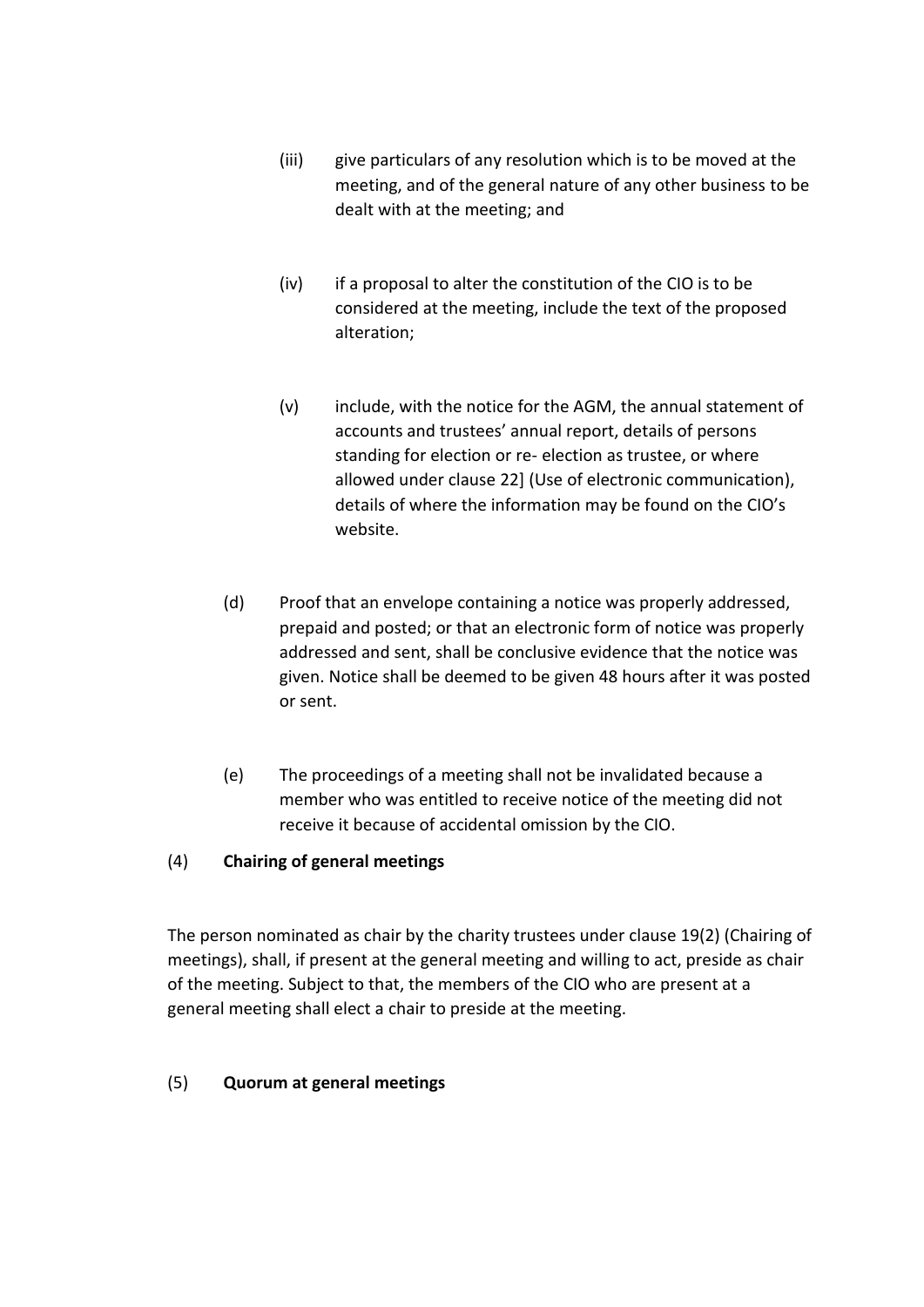- (iii) give particulars of any resolution which is to be moved at the meeting, and of the general nature of any other business to be dealt with at the meeting; and
- (iv) if a proposal to alter the constitution of the CIO is to be considered at the meeting, include the text of the proposed alteration;
- (v) include, with the notice for the AGM, the annual statement of accounts and trustees' annual report, details of persons standing for election or re- election as trustee, or where allowed under clause 22] (Use of electronic communication), details of where the information may be found on the CIO's website.
- (d) Proof that an envelope containing a notice was properly addressed, prepaid and posted; or that an electronic form of notice was properly addressed and sent, shall be conclusive evidence that the notice was given. Notice shall be deemed to be given 48 hours after it was posted or sent.
- (e) The proceedings of a meeting shall not be invalidated because a member who was entitled to receive notice of the meeting did not receive it because of accidental omission by the CIO.

## (4) **Chairing of general meetings**

The person nominated as chair by the charity trustees under clause 19(2) (Chairing of meetings), shall, if present at the general meeting and willing to act, preside as chair of the meeting. Subject to that, the members of the CIO who are present at a general meeting shall elect a chair to preside at the meeting.

## (5) **Quorum at general meetings**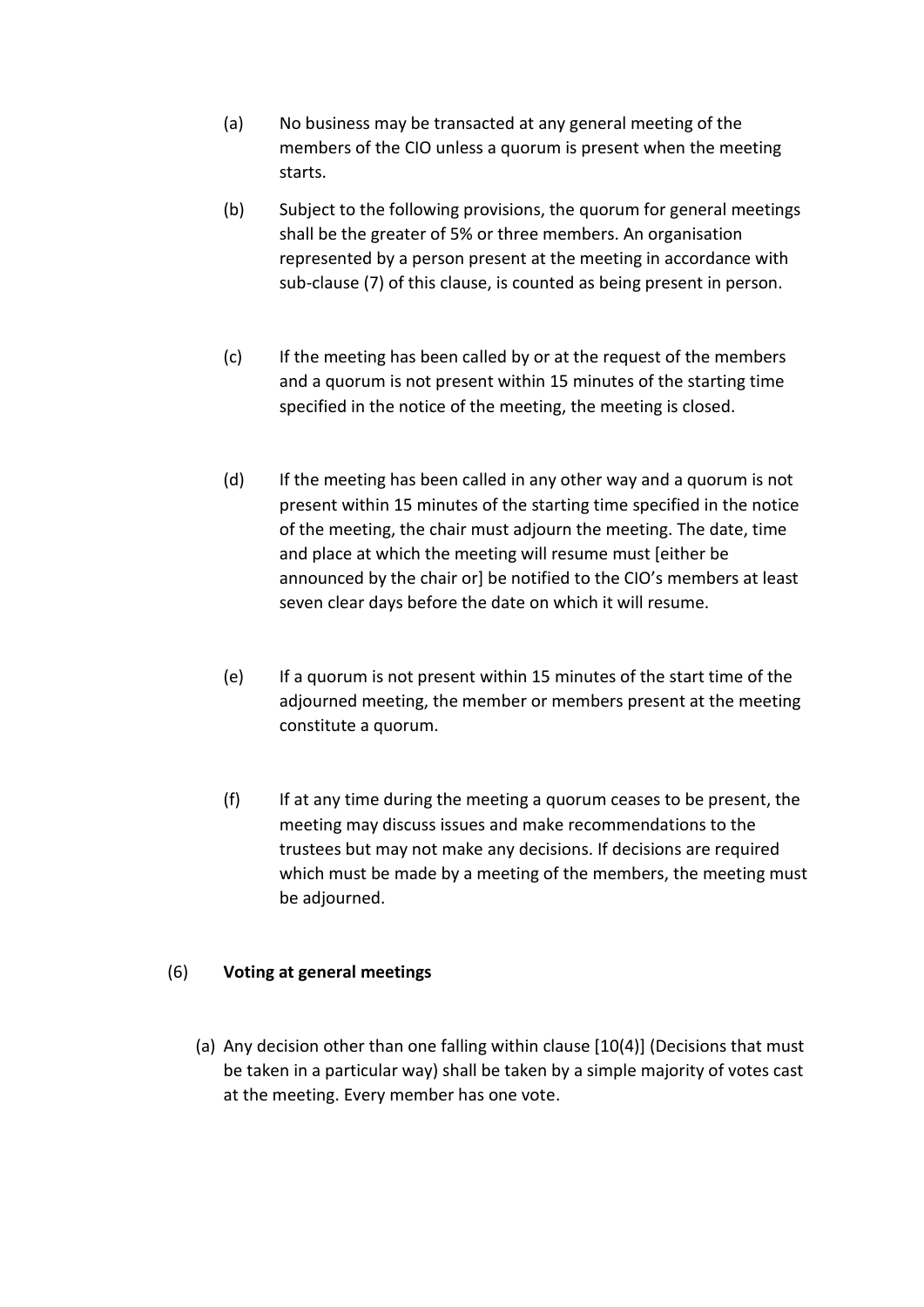- (a) No business may be transacted at any general meeting of the members of the CIO unless a quorum is present when the meeting starts.
- (b) Subject to the following provisions, the quorum for general meetings shall be the greater of 5% or three members. An organisation represented by a person present at the meeting in accordance with sub-clause (7) of this clause, is counted as being present in person.
- (c) If the meeting has been called by or at the request of the members and a quorum is not present within 15 minutes of the starting time specified in the notice of the meeting, the meeting is closed.
- (d) If the meeting has been called in any other way and a quorum is not present within 15 minutes of the starting time specified in the notice of the meeting, the chair must adjourn the meeting. The date, time and place at which the meeting will resume must [either be announced by the chair or] be notified to the CIO's members at least seven clear days before the date on which it will resume.
- (e) If a quorum is not present within 15 minutes of the start time of the adjourned meeting, the member or members present at the meeting constitute a quorum.
- $(f)$  If at any time during the meeting a quorum ceases to be present, the meeting may discuss issues and make recommendations to the trustees but may not make any decisions. If decisions are required which must be made by a meeting of the members, the meeting must be adjourned.

## (6) **Voting at general meetings**

(a) Any decision other than one falling within clause [10(4)] (Decisions that must be taken in a particular way) shall be taken by a simple majority of votes cast at the meeting. Every member has one vote.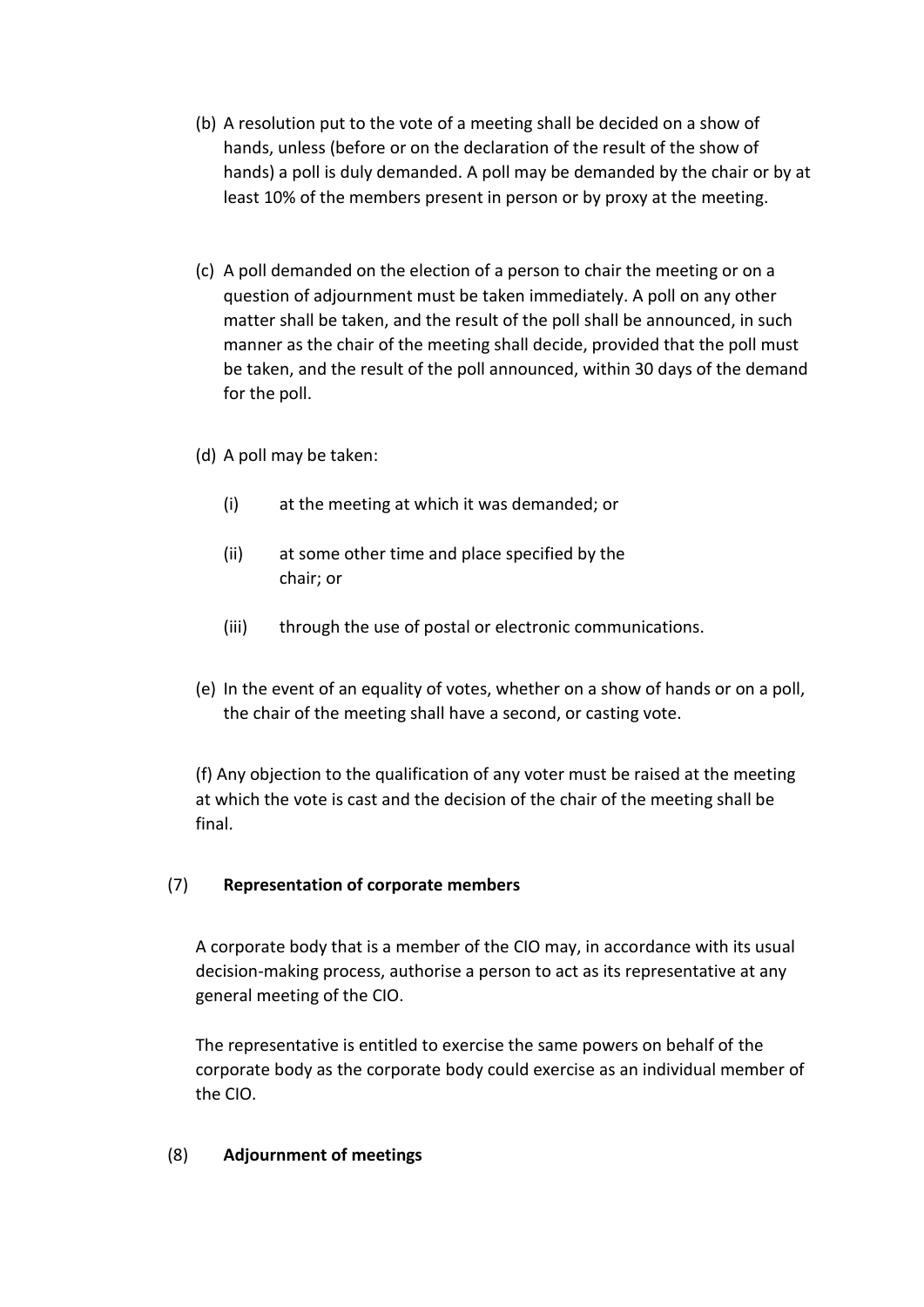- (b) A resolution put to the vote of a meeting shall be decided on a show of hands, unless (before or on the declaration of the result of the show of hands) a poll is duly demanded. A poll may be demanded by the chair or by at least 10% of the members present in person or by proxy at the meeting.
- (c) A poll demanded on the election of a person to chair the meeting or on a question of adjournment must be taken immediately. A poll on any other matter shall be taken, and the result of the poll shall be announced, in such manner as the chair of the meeting shall decide, provided that the poll must be taken, and the result of the poll announced, within 30 days of the demand for the poll.
- (d) A poll may be taken:
	- (i) at the meeting at which it was demanded; or
	- (ii) at some other time and place specified by the chair; or
	- (iii) through the use of postal or electronic communications.
- (e) In the event of an equality of votes, whether on a show of hands or on a poll, the chair of the meeting shall have a second, or casting vote.

(f) Any objection to the qualification of any voter must be raised at the meeting at which the vote is cast and the decision of the chair of the meeting shall be final.

# (7) **Representation of corporate members**

A corporate body that is a member of the CIO may, in accordance with its usual decision-making process, authorise a person to act as its representative at any general meeting of the CIO.

The representative is entitled to exercise the same powers on behalf of the corporate body as the corporate body could exercise as an individual member of the CIO.

## (8) **Adjournment of meetings**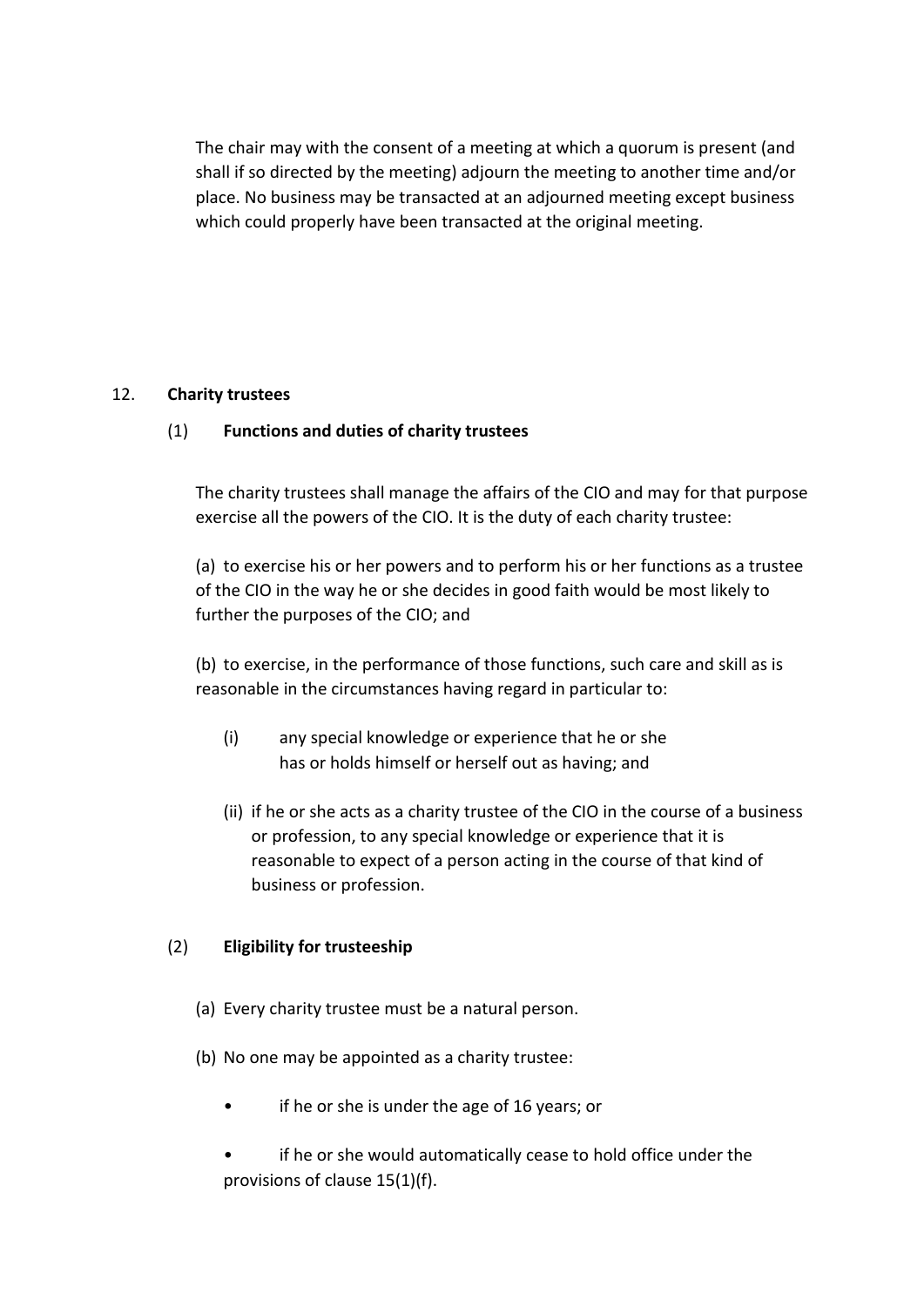The chair may with the consent of a meeting at which a quorum is present (and shall if so directed by the meeting) adjourn the meeting to another time and/or place. No business may be transacted at an adjourned meeting except business which could properly have been transacted at the original meeting.

## 12. **Charity trustees**

#### (1) **Functions and duties of charity trustees**

The charity trustees shall manage the affairs of the CIO and may for that purpose exercise all the powers of the CIO. It is the duty of each charity trustee:

(a) to exercise his or her powers and to perform his or her functions as a trustee of the CIO in the way he or she decides in good faith would be most likely to further the purposes of the CIO; and

(b) to exercise, in the performance of those functions, such care and skill as is reasonable in the circumstances having regard in particular to:

- (i) any special knowledge or experience that he or she has or holds himself or herself out as having; and
- (ii) if he or she acts as a charity trustee of the CIO in the course of a business or profession, to any special knowledge or experience that it is reasonable to expect of a person acting in the course of that kind of business or profession.

## (2) **Eligibility for trusteeship**

- (a) Every charity trustee must be a natural person.
- (b) No one may be appointed as a charity trustee:
	- if he or she is under the age of 16 years; or
	- if he or she would automatically cease to hold office under the provisions of clause 15(1)(f).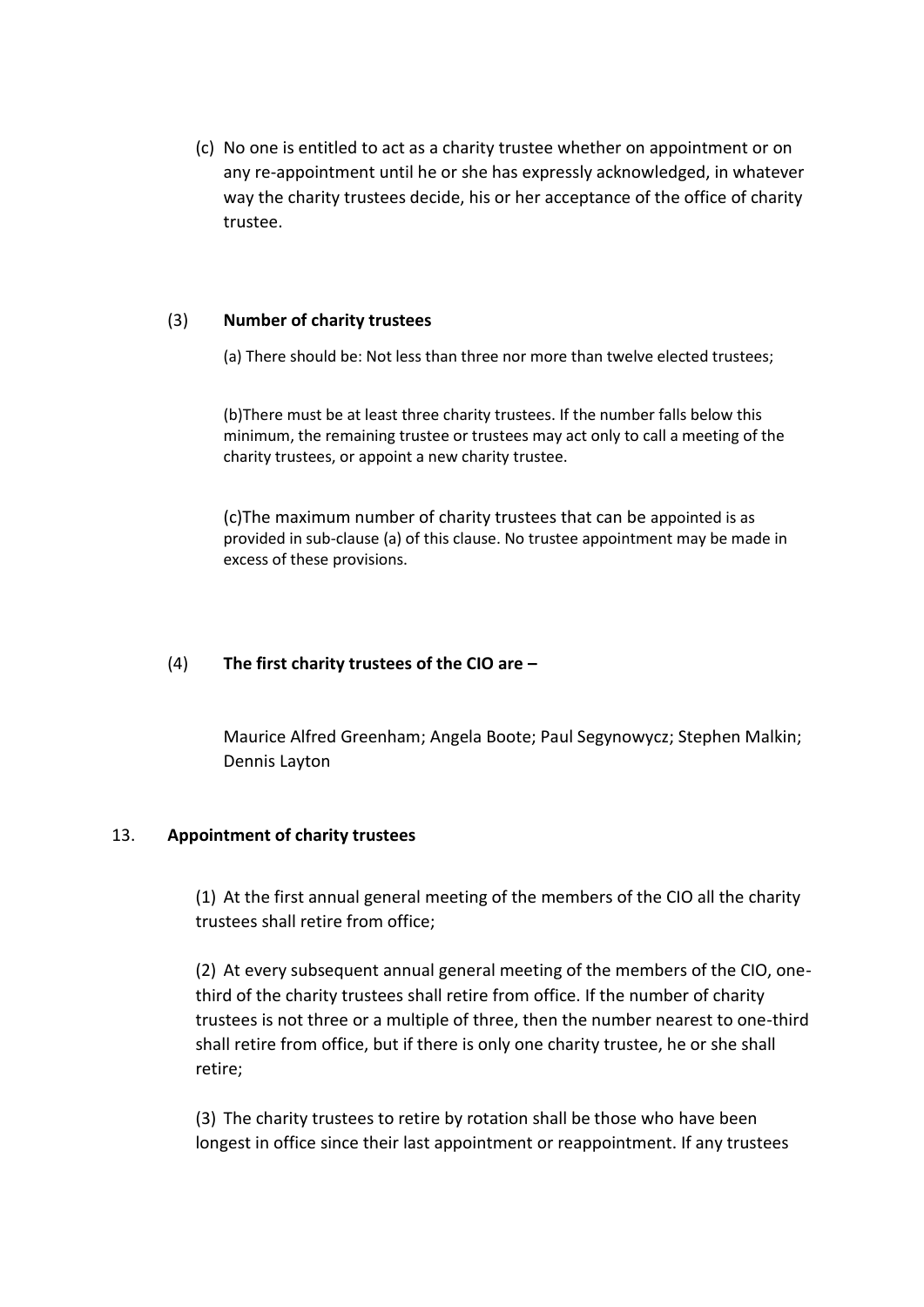(c) No one is entitled to act as a charity trustee whether on appointment or on any re-appointment until he or she has expressly acknowledged, in whatever way the charity trustees decide, his or her acceptance of the office of charity trustee.

#### (3) **Number of charity trustees**

(a) There should be: Not less than three nor more than twelve elected trustees;

(b)There must be at least three charity trustees. If the number falls below this minimum, the remaining trustee or trustees may act only to call a meeting of the charity trustees, or appoint a new charity trustee.

(c)The maximum number of charity trustees that can be appointed is as provided in sub-clause (a) of this clause. No trustee appointment may be made in excess of these provisions.

## (4) **The first charity trustees of the CIO are –**

Maurice Alfred Greenham; Angela Boote; Paul Segynowycz; Stephen Malkin; Dennis Layton

## 13. **Appointment of charity trustees**

(1) At the first annual general meeting of the members of the CIO all the charity trustees shall retire from office;

(2) At every subsequent annual general meeting of the members of the CIO, onethird of the charity trustees shall retire from office. If the number of charity trustees is not three or a multiple of three, then the number nearest to one-third shall retire from office, but if there is only one charity trustee, he or she shall retire;

(3) The charity trustees to retire by rotation shall be those who have been longest in office since their last appointment or reappointment. If any trustees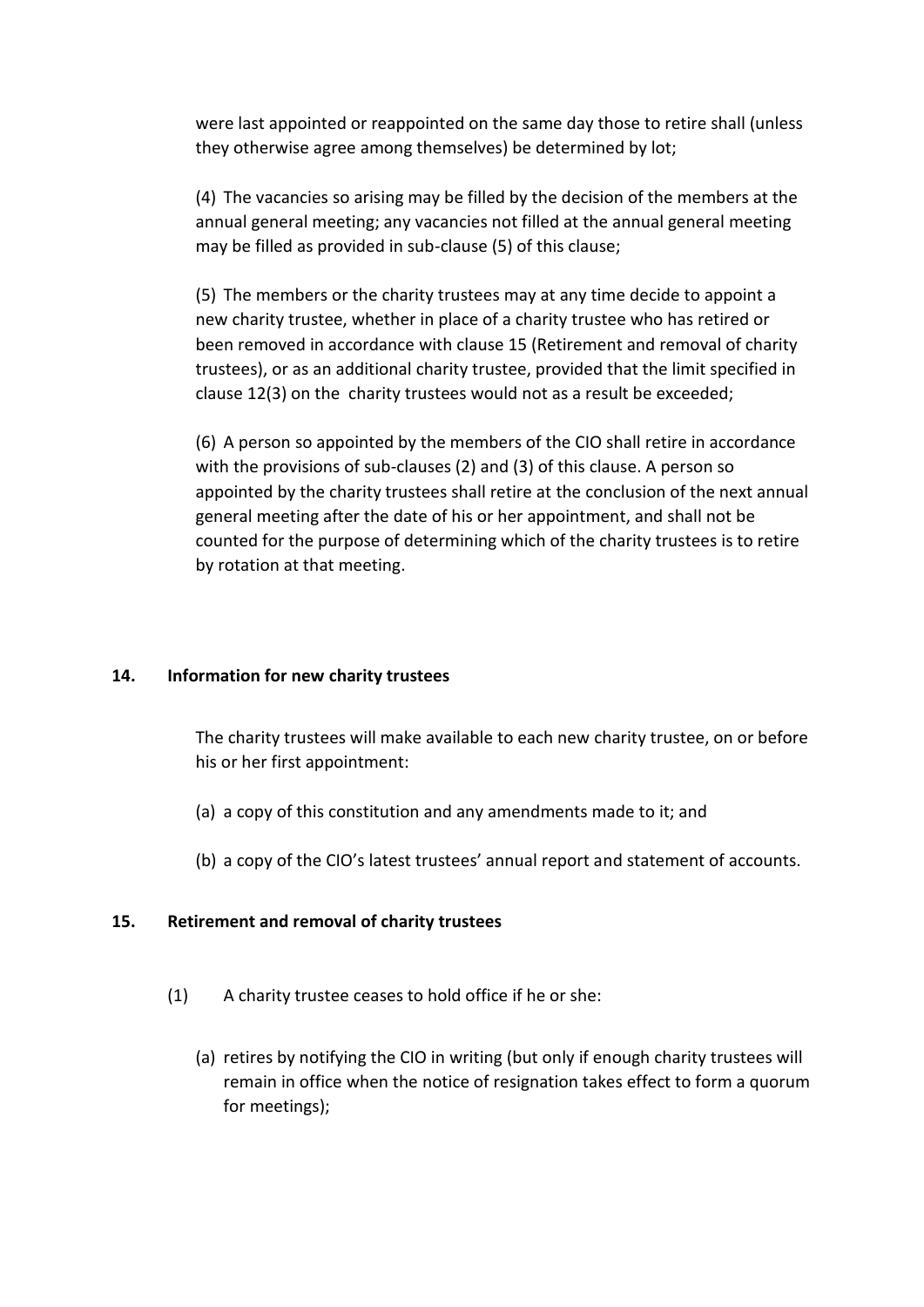were last appointed or reappointed on the same day those to retire shall (unless they otherwise agree among themselves) be determined by lot;

(4) The vacancies so arising may be filled by the decision of the members at the annual general meeting; any vacancies not filled at the annual general meeting may be filled as provided in sub-clause (5) of this clause;

(5) The members or the charity trustees may at any time decide to appoint a new charity trustee, whether in place of a charity trustee who has retired or been removed in accordance with clause 15 (Retirement and removal of charity trustees), or as an additional charity trustee, provided that the limit specified in clause 12(3) on the charity trustees would not as a result be exceeded;

(6) A person so appointed by the members of the CIO shall retire in accordance with the provisions of sub-clauses (2) and (3) of this clause. A person so appointed by the charity trustees shall retire at the conclusion of the next annual general meeting after the date of his or her appointment, and shall not be counted for the purpose of determining which of the charity trustees is to retire by rotation at that meeting.

## **14. Information for new charity trustees**

The charity trustees will make available to each new charity trustee, on or before his or her first appointment:

- (a) a copy of this constitution and any amendments made to it; and
- (b) a copy of the CIO's latest trustees' annual report and statement of accounts.

#### **15. Retirement and removal of charity trustees**

- (1) A charity trustee ceases to hold office if he or she:
	- (a) retires by notifying the CIO in writing (but only if enough charity trustees will remain in office when the notice of resignation takes effect to form a quorum for meetings);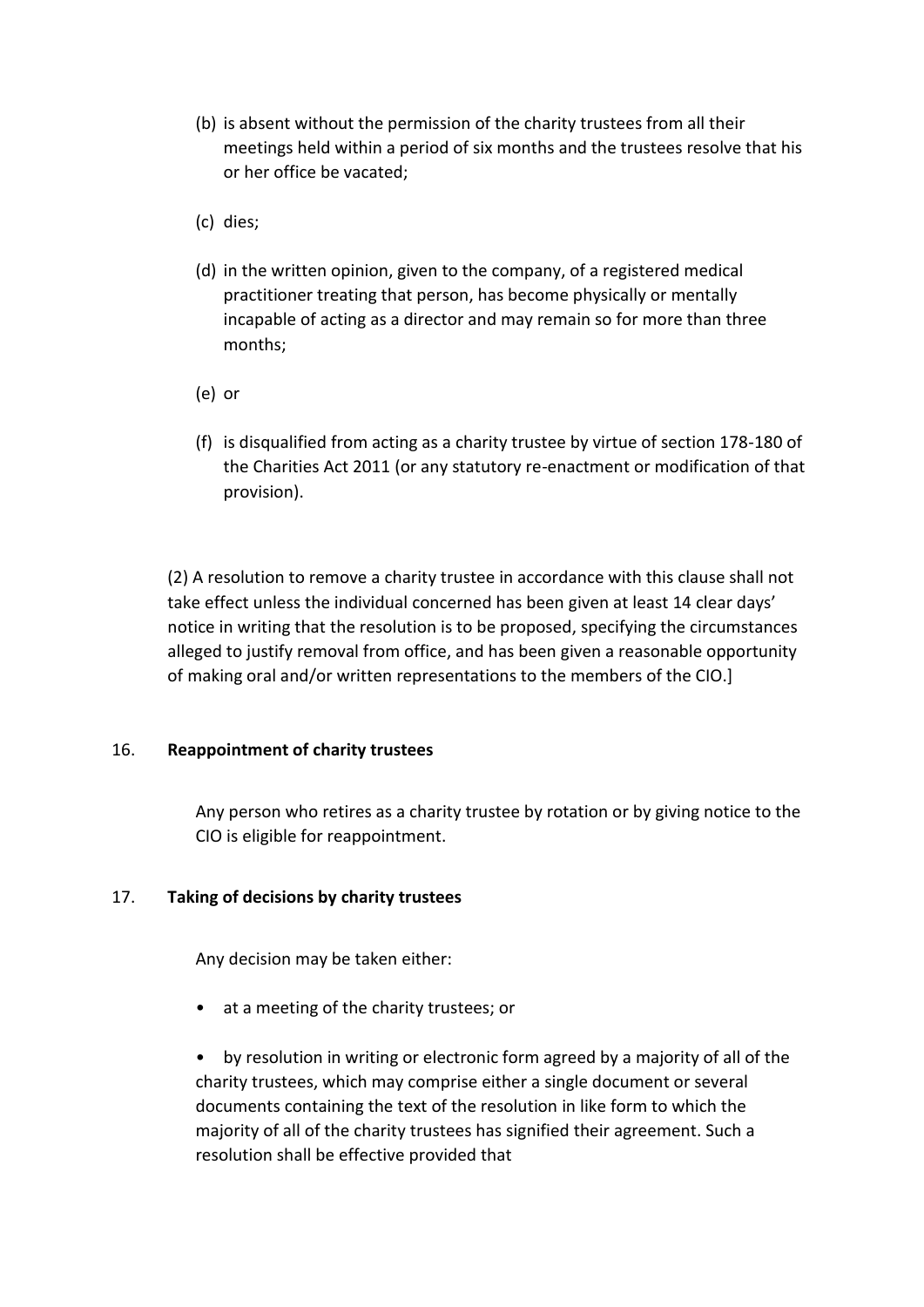- (b) is absent without the permission of the charity trustees from all their meetings held within a period of six months and the trustees resolve that his or her office be vacated;
- (c) dies;
- (d) in the written opinion, given to the company, of a registered medical practitioner treating that person, has become physically or mentally incapable of acting as a director and may remain so for more than three months;
- (e) or
- (f) is disqualified from acting as a charity trustee by virtue of section 178-180 of the Charities Act 2011 (or any statutory re-enactment or modification of that provision).

(2) A resolution to remove a charity trustee in accordance with this clause shall not take effect unless the individual concerned has been given at least 14 clear days' notice in writing that the resolution is to be proposed, specifying the circumstances alleged to justify removal from office, and has been given a reasonable opportunity of making oral and/or written representations to the members of the CIO.]

## 16. **Reappointment of charity trustees**

Any person who retires as a charity trustee by rotation or by giving notice to the CIO is eligible for reappointment.

## 17. **Taking of decisions by charity trustees**

Any decision may be taken either:

• at a meeting of the charity trustees; or

• by resolution in writing or electronic form agreed by a majority of all of the charity trustees, which may comprise either a single document or several documents containing the text of the resolution in like form to which the majority of all of the charity trustees has signified their agreement. Such a resolution shall be effective provided that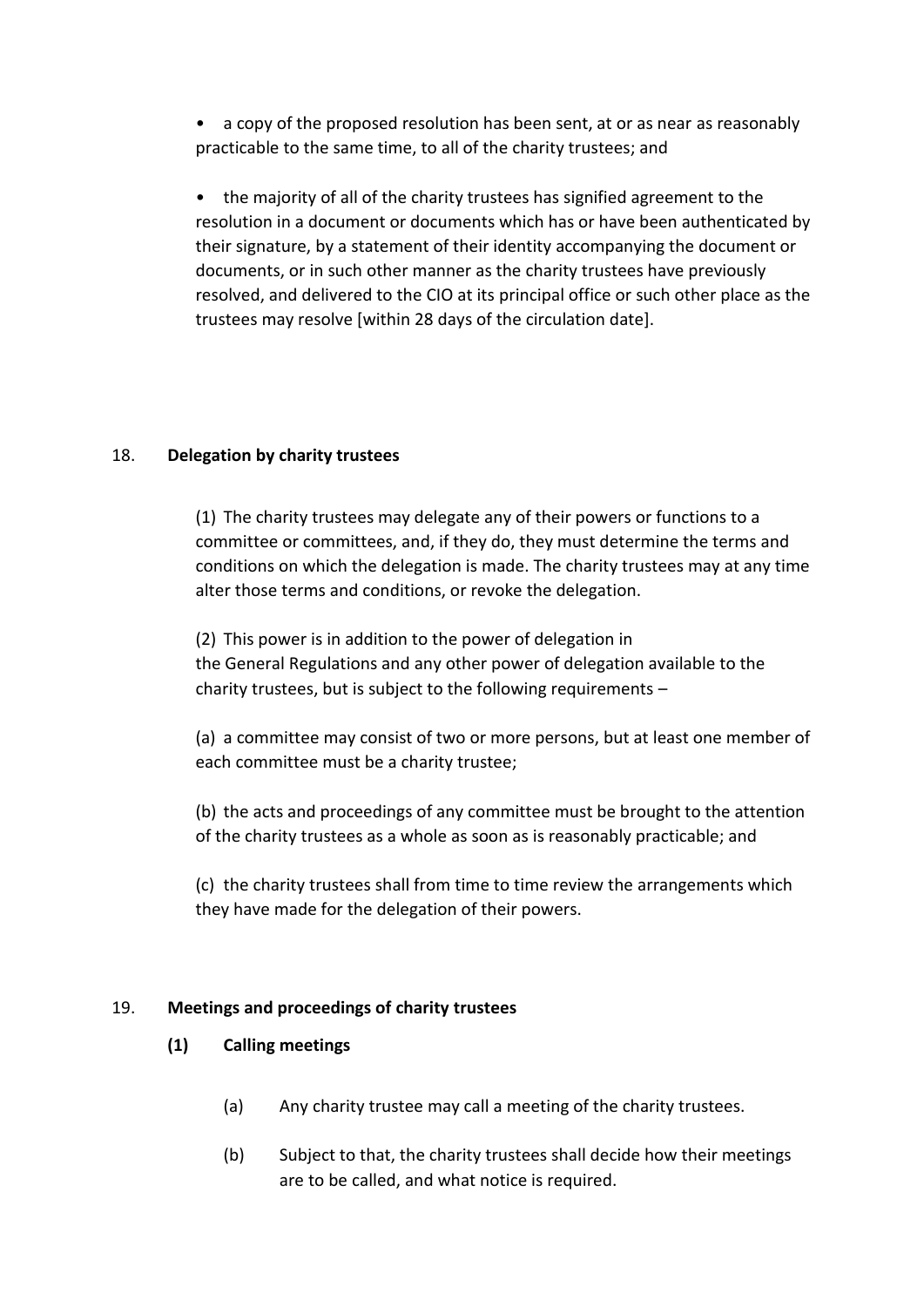• a copy of the proposed resolution has been sent, at or as near as reasonably practicable to the same time, to all of the charity trustees; and

• the majority of all of the charity trustees has signified agreement to the resolution in a document or documents which has or have been authenticated by their signature, by a statement of their identity accompanying the document or documents, or in such other manner as the charity trustees have previously resolved, and delivered to the CIO at its principal office or such other place as the trustees may resolve [within 28 days of the circulation date].

#### 18. **Delegation by charity trustees**

(1) The charity trustees may delegate any of their powers or functions to a committee or committees, and, if they do, they must determine the terms and conditions on which the delegation is made. The charity trustees may at any time alter those terms and conditions, or revoke the delegation.

(2) This power is in addition to the power of delegation in the General Regulations and any other power of delegation available to the charity trustees, but is subject to the following requirements –

(a) a committee may consist of two or more persons, but at least one member of each committee must be a charity trustee;

(b) the acts and proceedings of any committee must be brought to the attention of the charity trustees as a whole as soon as is reasonably practicable; and

(c) the charity trustees shall from time to time review the arrangements which they have made for the delegation of their powers.

## 19. **Meetings and proceedings of charity trustees**

#### **(1) Calling meetings**

- (a) Any charity trustee may call a meeting of the charity trustees.
- (b) Subject to that, the charity trustees shall decide how their meetings are to be called, and what notice is required.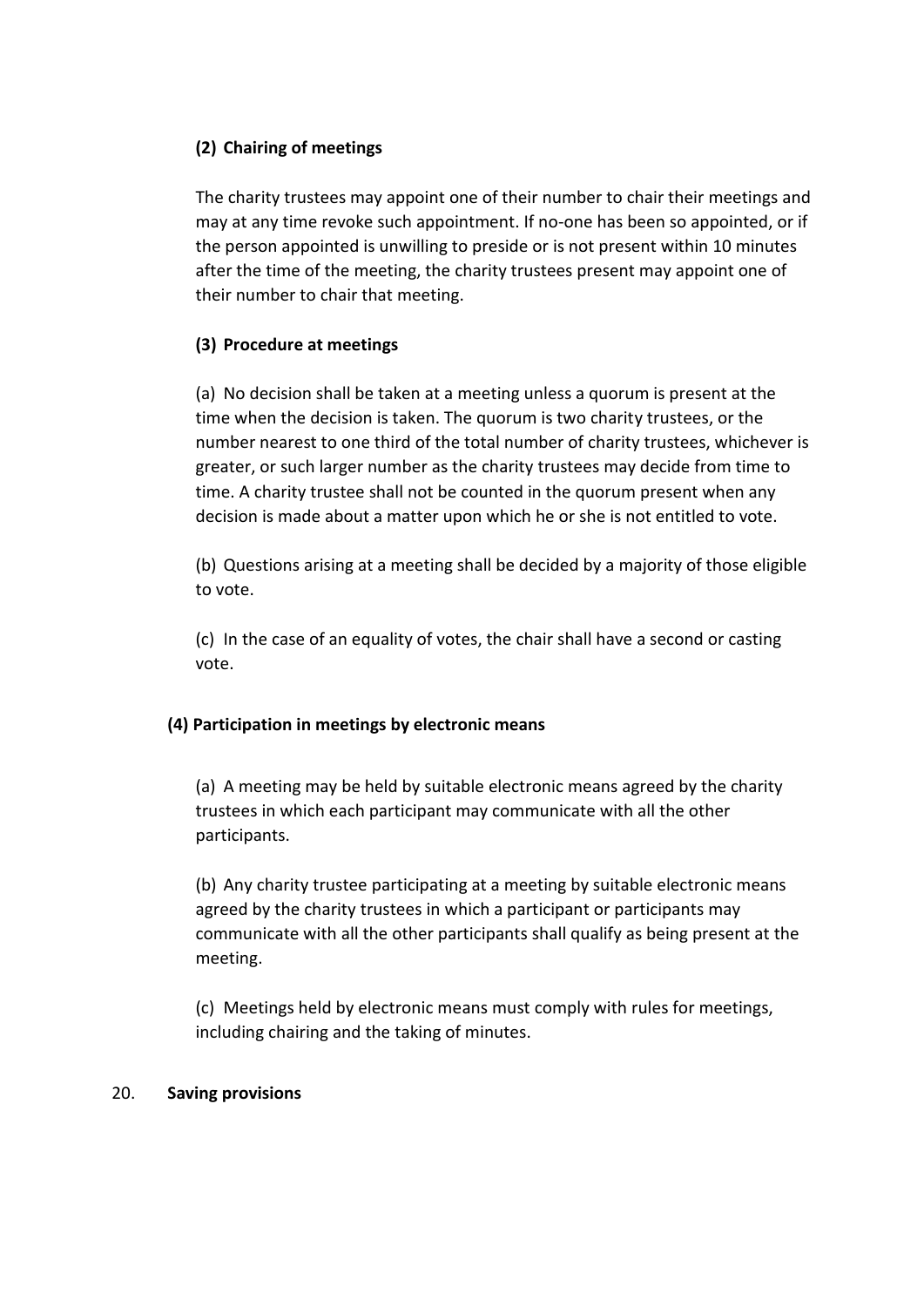## **(2) Chairing of meetings**

The charity trustees may appoint one of their number to chair their meetings and may at any time revoke such appointment. If no-one has been so appointed, or if the person appointed is unwilling to preside or is not present within 10 minutes after the time of the meeting, the charity trustees present may appoint one of their number to chair that meeting.

## **(3) Procedure at meetings**

(a) No decision shall be taken at a meeting unless a quorum is present at the time when the decision is taken. The quorum is two charity trustees, or the number nearest to one third of the total number of charity trustees, whichever is greater, or such larger number as the charity trustees may decide from time to time. A charity trustee shall not be counted in the quorum present when any decision is made about a matter upon which he or she is not entitled to vote.

(b) Questions arising at a meeting shall be decided by a majority of those eligible to vote.

(c) In the case of an equality of votes, the chair shall have a second or casting vote.

#### **(4) Participation in meetings by electronic means**

(a) A meeting may be held by suitable electronic means agreed by the charity trustees in which each participant may communicate with all the other participants.

(b) Any charity trustee participating at a meeting by suitable electronic means agreed by the charity trustees in which a participant or participants may communicate with all the other participants shall qualify as being present at the meeting.

(c) Meetings held by electronic means must comply with rules for meetings, including chairing and the taking of minutes.

#### 20. **Saving provisions**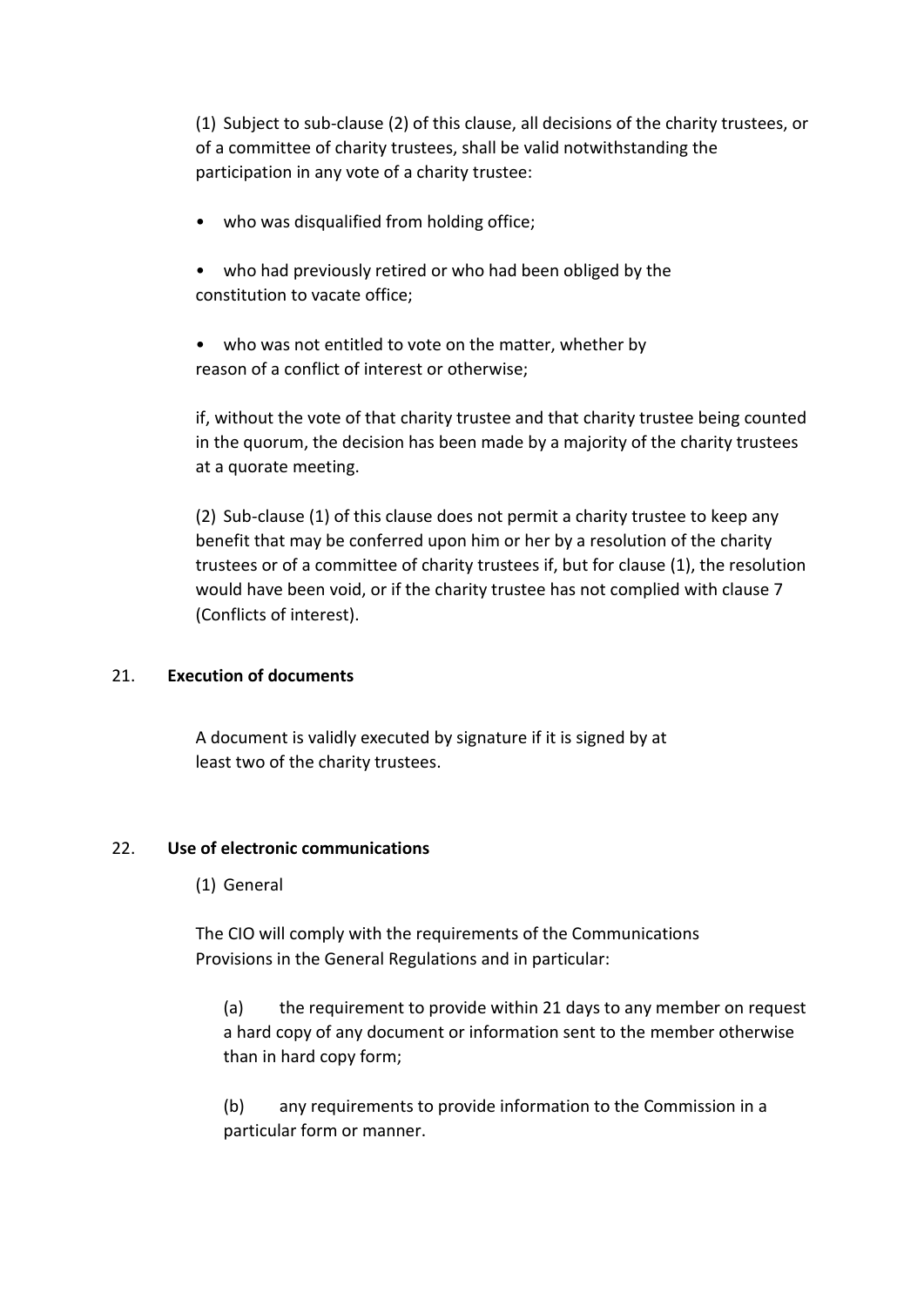(1) Subject to sub-clause (2) of this clause, all decisions of the charity trustees, or of a committee of charity trustees, shall be valid notwithstanding the participation in any vote of a charity trustee:

- who was disqualified from holding office;
- who had previously retired or who had been obliged by the constitution to vacate office;

• who was not entitled to vote on the matter, whether by reason of a conflict of interest or otherwise;

if, without the vote of that charity trustee and that charity trustee being counted in the quorum, the decision has been made by a majority of the charity trustees at a quorate meeting.

(2) Sub-clause (1) of this clause does not permit a charity trustee to keep any benefit that may be conferred upon him or her by a resolution of the charity trustees or of a committee of charity trustees if, but for clause (1), the resolution would have been void, or if the charity trustee has not complied with clause 7 (Conflicts of interest).

## 21. **Execution of documents**

A document is validly executed by signature if it is signed by at least two of the charity trustees.

## 22. **Use of electronic communications**

(1) General

The CIO will comply with the requirements of the Communications Provisions in the General Regulations and in particular:

(a) the requirement to provide within 21 days to any member on request a hard copy of any document or information sent to the member otherwise than in hard copy form;

(b) any requirements to provide information to the Commission in a particular form or manner.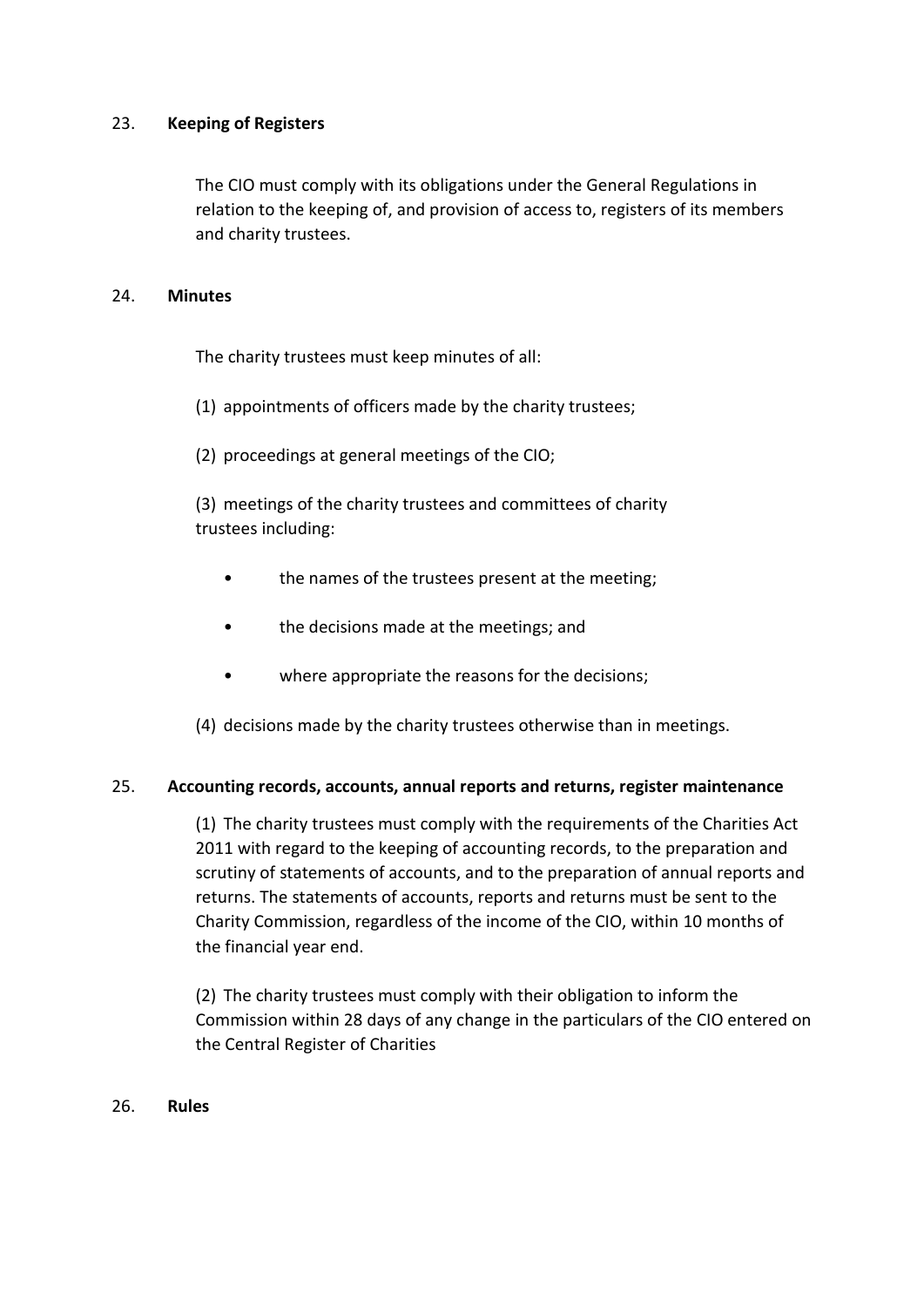#### 23. **Keeping of Registers**

The CIO must comply with its obligations under the General Regulations in relation to the keeping of, and provision of access to, registers of its members and charity trustees.

#### 24. **Minutes**

The charity trustees must keep minutes of all:

- (1) appointments of officers made by the charity trustees;
- (2) proceedings at general meetings of the CIO;

(3) meetings of the charity trustees and committees of charity trustees including:

- the names of the trustees present at the meeting;
- the decisions made at the meetings; and
- where appropriate the reasons for the decisions;
- (4) decisions made by the charity trustees otherwise than in meetings.

## 25. **Accounting records, accounts, annual reports and returns, register maintenance**

(1) The charity trustees must comply with the requirements of the Charities Act 2011 with regard to the keeping of accounting records, to the preparation and scrutiny of statements of accounts, and to the preparation of annual reports and returns. The statements of accounts, reports and returns must be sent to the Charity Commission, regardless of the income of the CIO, within 10 months of the financial year end.

(2) The charity trustees must comply with their obligation to inform the Commission within 28 days of any change in the particulars of the CIO entered on the Central Register of Charities

#### 26. **Rules**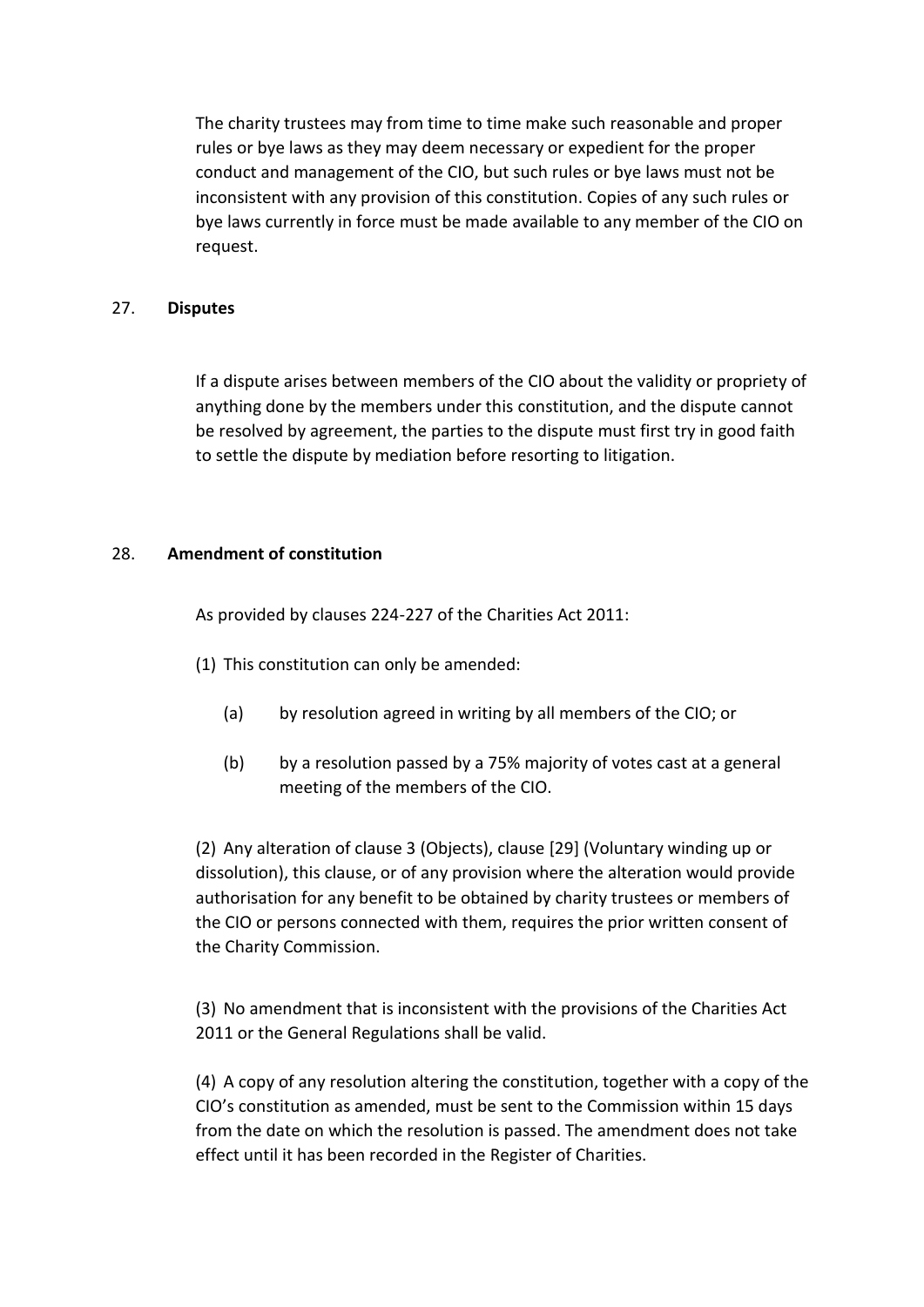The charity trustees may from time to time make such reasonable and proper rules or bye laws as they may deem necessary or expedient for the proper conduct and management of the CIO, but such rules or bye laws must not be inconsistent with any provision of this constitution. Copies of any such rules or bye laws currently in force must be made available to any member of the CIO on request.

## 27. **Disputes**

If a dispute arises between members of the CIO about the validity or propriety of anything done by the members under this constitution, and the dispute cannot be resolved by agreement, the parties to the dispute must first try in good faith to settle the dispute by mediation before resorting to litigation.

#### 28. **Amendment of constitution**

As provided by clauses 224-227 of the Charities Act 2011:

- (1) This constitution can only be amended:
	- (a) by resolution agreed in writing by all members of the CIO; or
	- (b) by a resolution passed by a 75% majority of votes cast at a general meeting of the members of the CIO.

(2) Any alteration of clause 3 (Objects), clause [29] (Voluntary winding up or dissolution), this clause, or of any provision where the alteration would provide authorisation for any benefit to be obtained by charity trustees or members of the CIO or persons connected with them, requires the prior written consent of the Charity Commission.

(3) No amendment that is inconsistent with the provisions of the Charities Act 2011 or the General Regulations shall be valid.

(4) A copy of any resolution altering the constitution, together with a copy of the CIO's constitution as amended, must be sent to the Commission within 15 days from the date on which the resolution is passed. The amendment does not take effect until it has been recorded in the Register of Charities.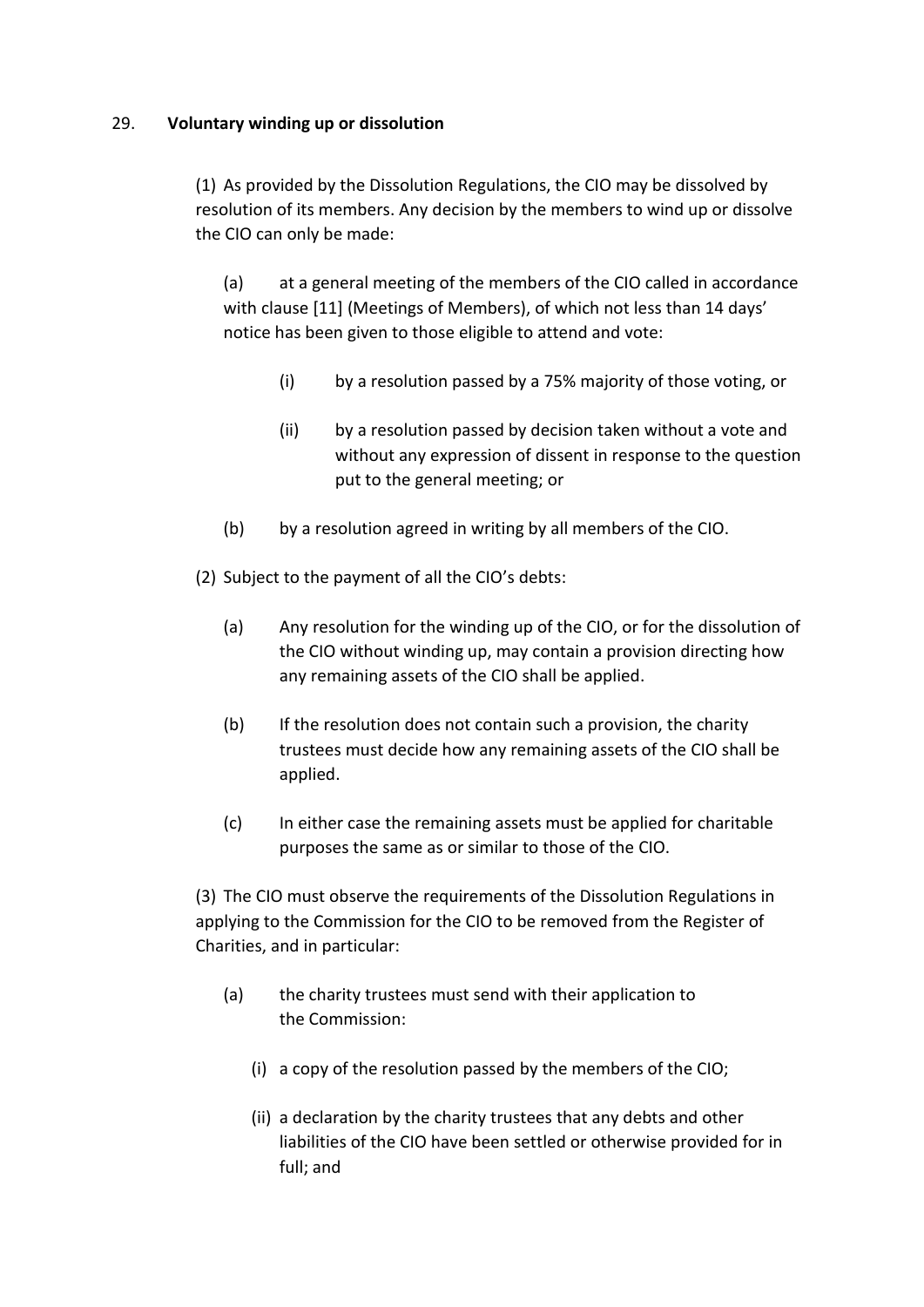### 29. **Voluntary winding up or dissolution**

(1) As provided by the Dissolution Regulations, the CIO may be dissolved by resolution of its members. Any decision by the members to wind up or dissolve the CIO can only be made:

(a) at a general meeting of the members of the CIO called in accordance with clause [11] (Meetings of Members), of which not less than 14 days' notice has been given to those eligible to attend and vote:

- (i) by a resolution passed by a 75% majority of those voting, or
- (ii) by a resolution passed by decision taken without a vote and without any expression of dissent in response to the question put to the general meeting; or
- (b) by a resolution agreed in writing by all members of the CIO.
- (2) Subject to the payment of all the CIO's debts:
	- (a) Any resolution for the winding up of the CIO, or for the dissolution of the CIO without winding up, may contain a provision directing how any remaining assets of the CIO shall be applied.
	- (b) If the resolution does not contain such a provision, the charity trustees must decide how any remaining assets of the CIO shall be applied.
	- (c) In either case the remaining assets must be applied for charitable purposes the same as or similar to those of the CIO.

(3) The CIO must observe the requirements of the Dissolution Regulations in applying to the Commission for the CIO to be removed from the Register of Charities, and in particular:

- (a) the charity trustees must send with their application to the Commission:
	- (i) a copy of the resolution passed by the members of the CIO;
	- (ii) a declaration by the charity trustees that any debts and other liabilities of the CIO have been settled or otherwise provided for in full; and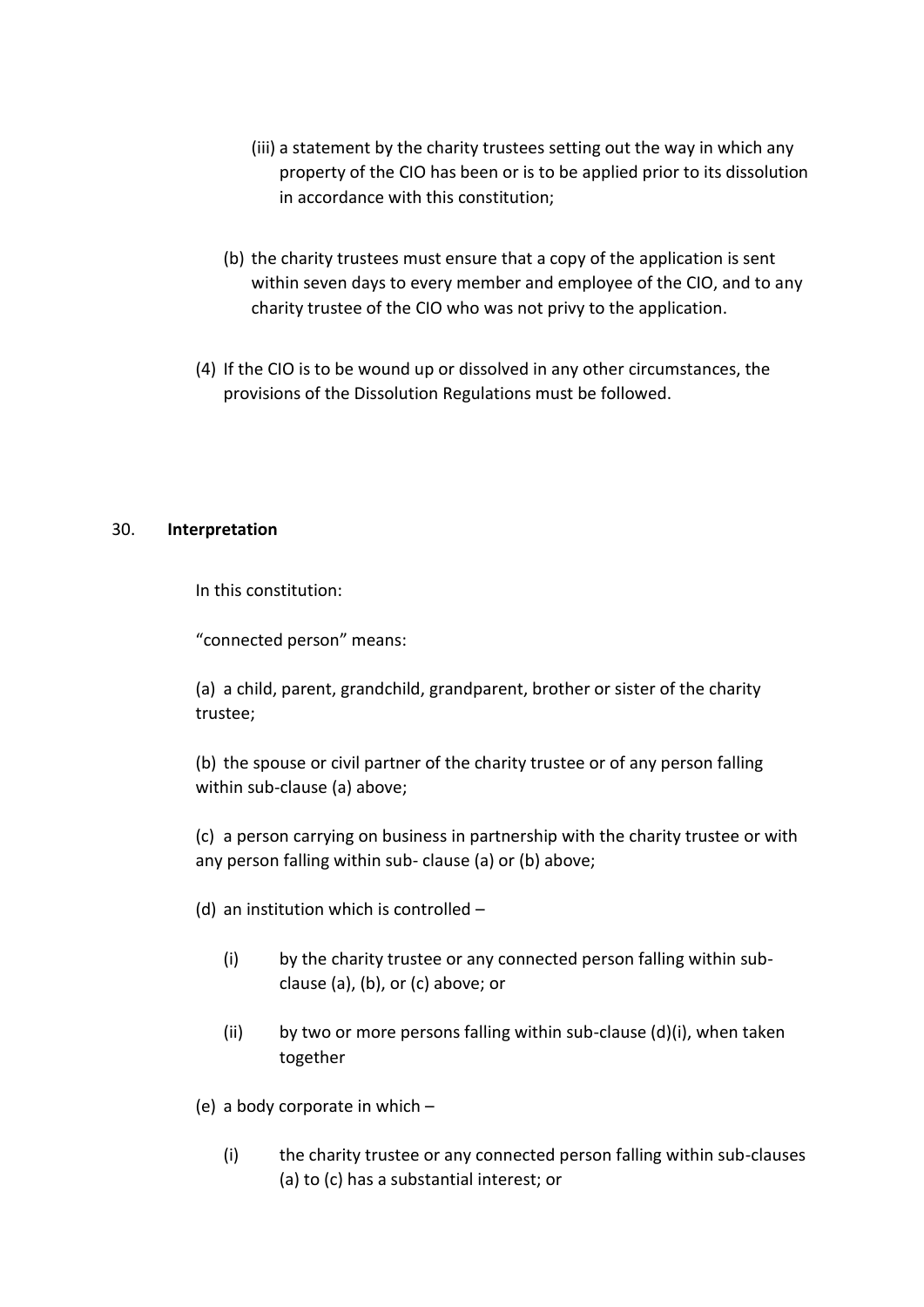- (iii) a statement by the charity trustees setting out the way in which any property of the CIO has been or is to be applied prior to its dissolution in accordance with this constitution;
- (b) the charity trustees must ensure that a copy of the application is sent within seven days to every member and employee of the CIO, and to any charity trustee of the CIO who was not privy to the application.
- (4) If the CIO is to be wound up or dissolved in any other circumstances, the provisions of the Dissolution Regulations must be followed.

#### 30. **Interpretation**

In this constitution:

"connected person" means:

(a) a child, parent, grandchild, grandparent, brother or sister of the charity trustee;

(b) the spouse or civil partner of the charity trustee or of any person falling within sub-clause (a) above;

(c) a person carrying on business in partnership with the charity trustee or with any person falling within sub- clause (a) or (b) above;

- (d) an institution which is controlled
	- (i) by the charity trustee or any connected person falling within subclause (a), (b), or (c) above; or
	- (ii) by two or more persons falling within sub-clause (d)(i), when taken together

(e) a body corporate in which –

(i) the charity trustee or any connected person falling within sub-clauses (a) to (c) has a substantial interest; or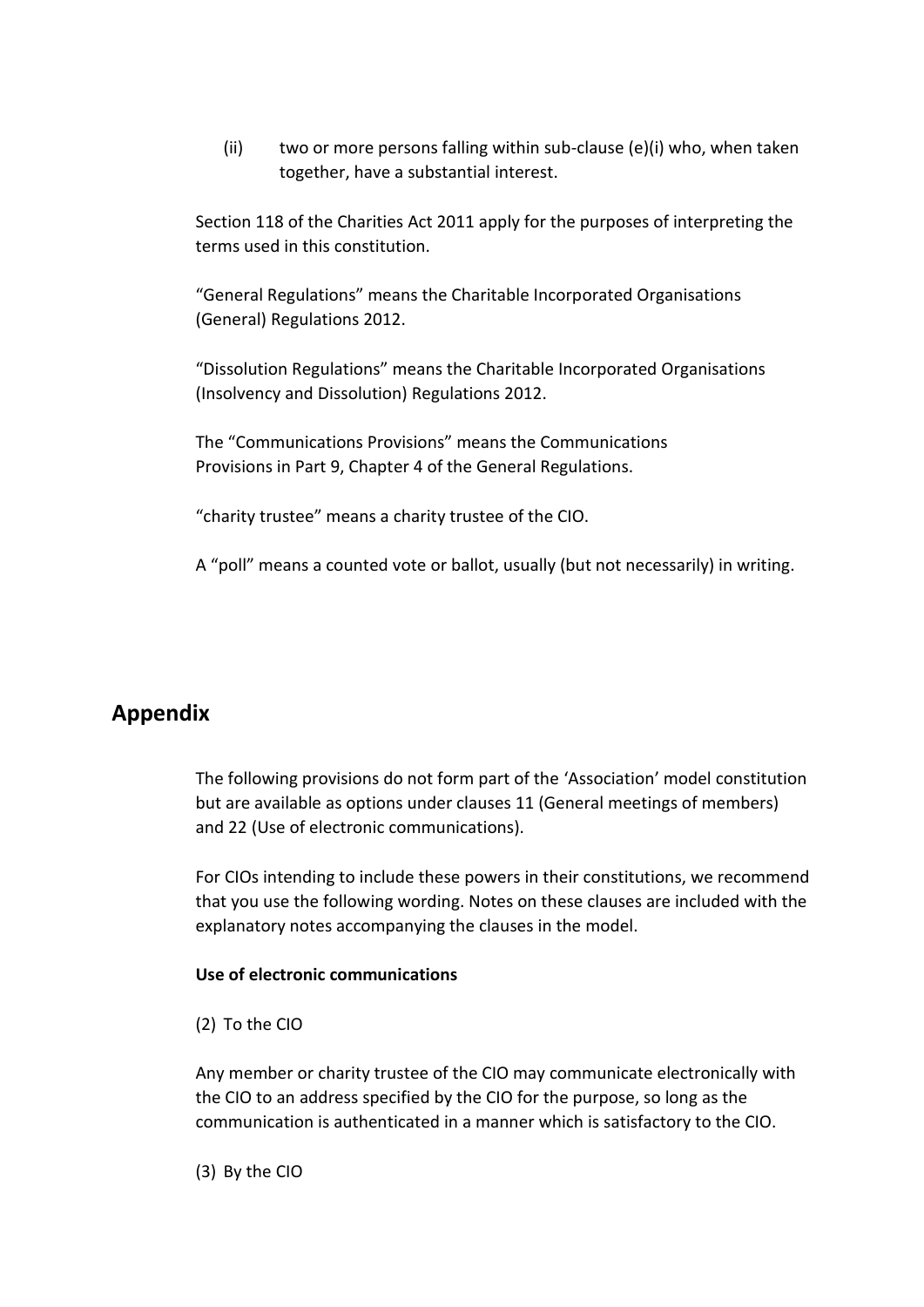(ii) two or more persons falling within sub-clause (e)(i) who, when taken together, have a substantial interest.

Section 118 of the Charities Act 2011 apply for the purposes of interpreting the terms used in this constitution.

"General Regulations" means the Charitable Incorporated Organisations (General) Regulations 2012.

"Dissolution Regulations" means the Charitable Incorporated Organisations (Insolvency and Dissolution) Regulations 2012.

The "Communications Provisions" means the Communications Provisions in Part 9, Chapter 4 of the General Regulations.

"charity trustee" means a charity trustee of the CIO.

A "poll" means a counted vote or ballot, usually (but not necessarily) in writing.

# **Appendix**

The following provisions do not form part of the 'Association' model constitution but are available as options under clauses 11 (General meetings of members) and 22 (Use of electronic communications).

For CIOs intending to include these powers in their constitutions, we recommend that you use the following wording. Notes on these clauses are included with the explanatory notes accompanying the clauses in the model.

#### **Use of electronic communications**

(2) To the CIO

Any member or charity trustee of the CIO may communicate electronically with the CIO to an address specified by the CIO for the purpose, so long as the communication is authenticated in a manner which is satisfactory to the CIO.

(3) By the CIO